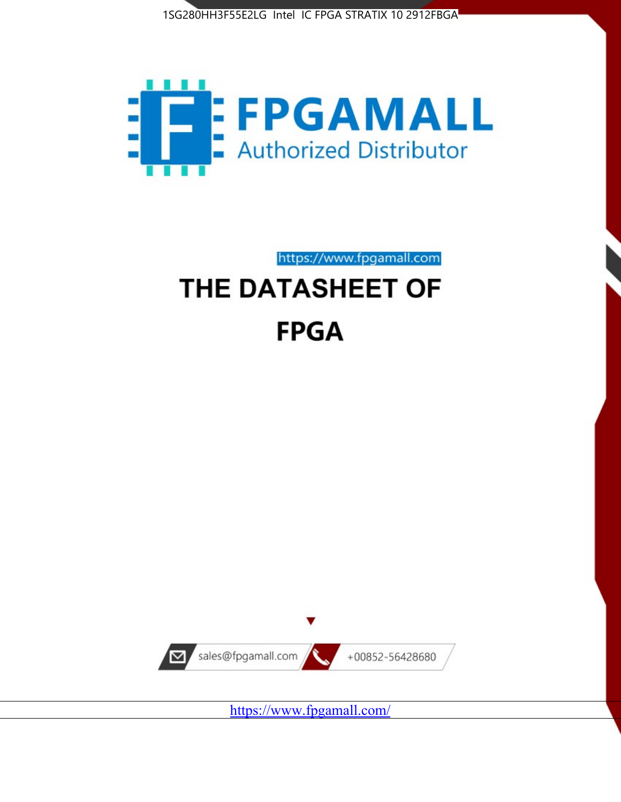



https://www.fpgamall.com

# THE DATASHEET OF **FPGA**



<https://www.fpgamall.com/>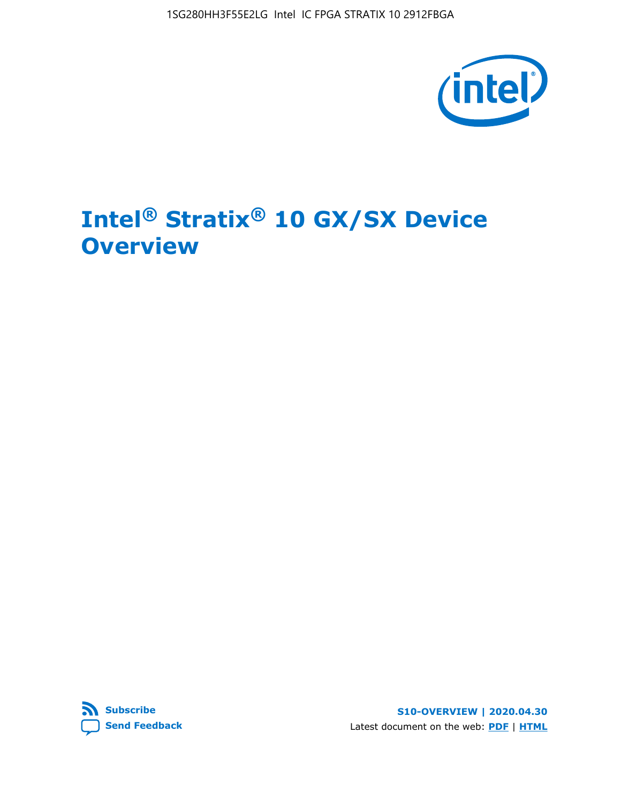

# **Intel® Stratix® 10 GX/SX Device Overview**



**S10-OVERVIEW | 2020.04.30** Latest document on the web: **[PDF](https://www.intel.com/content/dam/www/programmable/us/en/pdfs/literature/hb/stratix-10/s10-overview.pdf)** | **[HTML](https://www.intel.com/content/www/us/en/programmable/documentation/joc1442261161666.html)**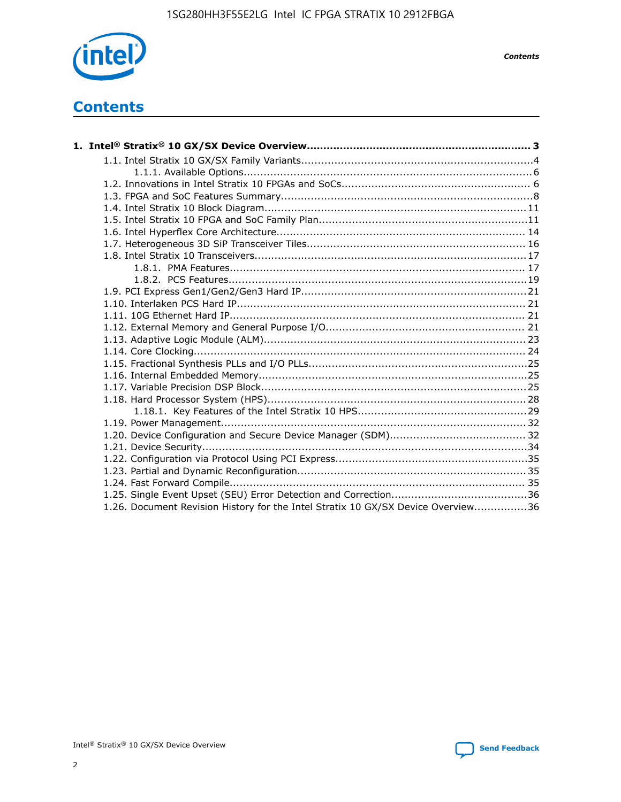

*Contents*

# **Contents**

| 1.26. Document Revision History for the Intel Stratix 10 GX/SX Device Overview36 |  |
|----------------------------------------------------------------------------------|--|

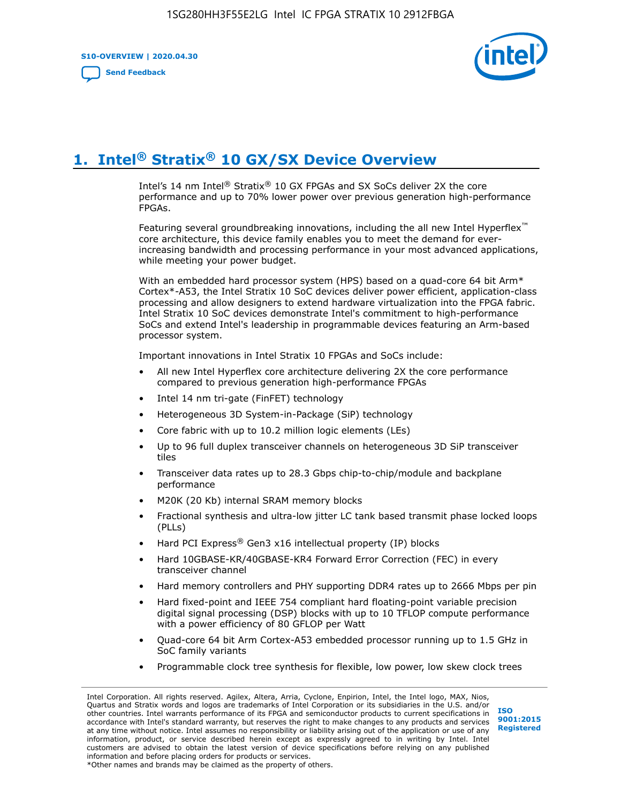**S10-OVERVIEW | 2020.04.30**

**[Send Feedback](mailto:FPGAtechdocfeedback@intel.com?subject=Feedback%20on%20Intel%20Stratix%2010%20GX/SX%20Device%20Overview%20(S10-OVERVIEW%202020.04.30)&body=We%20appreciate%20your%20feedback.%20In%20your%20comments,%20also%20specify%20the%20page%20number%20or%20paragraph.%20Thank%20you.)**



# **1. Intel® Stratix® 10 GX/SX Device Overview**

Intel's 14 nm Intel® Stratix® 10 GX FPGAs and SX SoCs deliver 2X the core performance and up to 70% lower power over previous generation high-performance FPGAs.

Featuring several groundbreaking innovations, including the all new Intel Hyperflex™ core architecture, this device family enables you to meet the demand for everincreasing bandwidth and processing performance in your most advanced applications, while meeting your power budget.

With an embedded hard processor system (HPS) based on a quad-core 64 bit Arm\* Cortex\*-A53, the Intel Stratix 10 SoC devices deliver power efficient, application-class processing and allow designers to extend hardware virtualization into the FPGA fabric. Intel Stratix 10 SoC devices demonstrate Intel's commitment to high-performance SoCs and extend Intel's leadership in programmable devices featuring an Arm-based processor system.

Important innovations in Intel Stratix 10 FPGAs and SoCs include:

- All new Intel Hyperflex core architecture delivering 2X the core performance compared to previous generation high-performance FPGAs
- Intel 14 nm tri-gate (FinFET) technology
- Heterogeneous 3D System-in-Package (SiP) technology
- Core fabric with up to 10.2 million logic elements (LEs)
- Up to 96 full duplex transceiver channels on heterogeneous 3D SiP transceiver tiles
- Transceiver data rates up to 28.3 Gbps chip-to-chip/module and backplane performance
- M20K (20 Kb) internal SRAM memory blocks
- Fractional synthesis and ultra-low jitter LC tank based transmit phase locked loops (PLLs)
- Hard PCI Express<sup>®</sup> Gen3 x16 intellectual property (IP) blocks
- Hard 10GBASE-KR/40GBASE-KR4 Forward Error Correction (FEC) in every transceiver channel
- Hard memory controllers and PHY supporting DDR4 rates up to 2666 Mbps per pin
- Hard fixed-point and IEEE 754 compliant hard floating-point variable precision digital signal processing (DSP) blocks with up to 10 TFLOP compute performance with a power efficiency of 80 GFLOP per Watt
- Quad-core 64 bit Arm Cortex-A53 embedded processor running up to 1.5 GHz in SoC family variants
- Programmable clock tree synthesis for flexible, low power, low skew clock trees

Intel Corporation. All rights reserved. Agilex, Altera, Arria, Cyclone, Enpirion, Intel, the Intel logo, MAX, Nios, Quartus and Stratix words and logos are trademarks of Intel Corporation or its subsidiaries in the U.S. and/or other countries. Intel warrants performance of its FPGA and semiconductor products to current specifications in accordance with Intel's standard warranty, but reserves the right to make changes to any products and services at any time without notice. Intel assumes no responsibility or liability arising out of the application or use of any information, product, or service described herein except as expressly agreed to in writing by Intel. Intel customers are advised to obtain the latest version of device specifications before relying on any published information and before placing orders for products or services. \*Other names and brands may be claimed as the property of others.

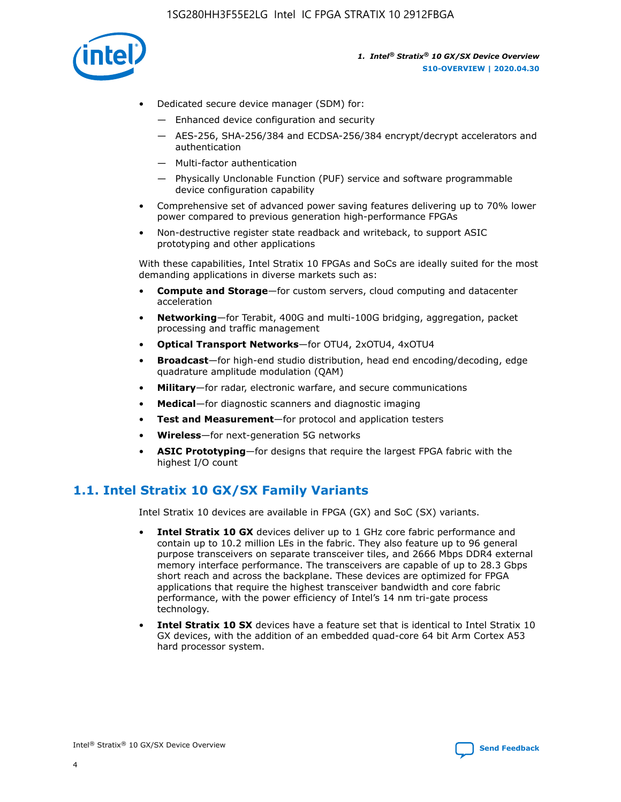

- Dedicated secure device manager (SDM) for:
	- Enhanced device configuration and security
	- AES-256, SHA-256/384 and ECDSA-256/384 encrypt/decrypt accelerators and authentication
	- Multi-factor authentication
	- Physically Unclonable Function (PUF) service and software programmable device configuration capability
- Comprehensive set of advanced power saving features delivering up to 70% lower power compared to previous generation high-performance FPGAs
- Non-destructive register state readback and writeback, to support ASIC prototyping and other applications

With these capabilities, Intel Stratix 10 FPGAs and SoCs are ideally suited for the most demanding applications in diverse markets such as:

- **Compute and Storage**—for custom servers, cloud computing and datacenter acceleration
- **Networking**—for Terabit, 400G and multi-100G bridging, aggregation, packet processing and traffic management
- **Optical Transport Networks**—for OTU4, 2xOTU4, 4xOTU4
- **Broadcast**—for high-end studio distribution, head end encoding/decoding, edge quadrature amplitude modulation (QAM)
- **Military**—for radar, electronic warfare, and secure communications
- **Medical**—for diagnostic scanners and diagnostic imaging
- **Test and Measurement**—for protocol and application testers
- **Wireless**—for next-generation 5G networks
- **ASIC Prototyping**—for designs that require the largest FPGA fabric with the highest I/O count

# **1.1. Intel Stratix 10 GX/SX Family Variants**

Intel Stratix 10 devices are available in FPGA (GX) and SoC (SX) variants.

- **Intel Stratix 10 GX** devices deliver up to 1 GHz core fabric performance and contain up to 10.2 million LEs in the fabric. They also feature up to 96 general purpose transceivers on separate transceiver tiles, and 2666 Mbps DDR4 external memory interface performance. The transceivers are capable of up to 28.3 Gbps short reach and across the backplane. These devices are optimized for FPGA applications that require the highest transceiver bandwidth and core fabric performance, with the power efficiency of Intel's 14 nm tri-gate process technology.
- **Intel Stratix 10 SX** devices have a feature set that is identical to Intel Stratix 10 GX devices, with the addition of an embedded quad-core 64 bit Arm Cortex A53 hard processor system.

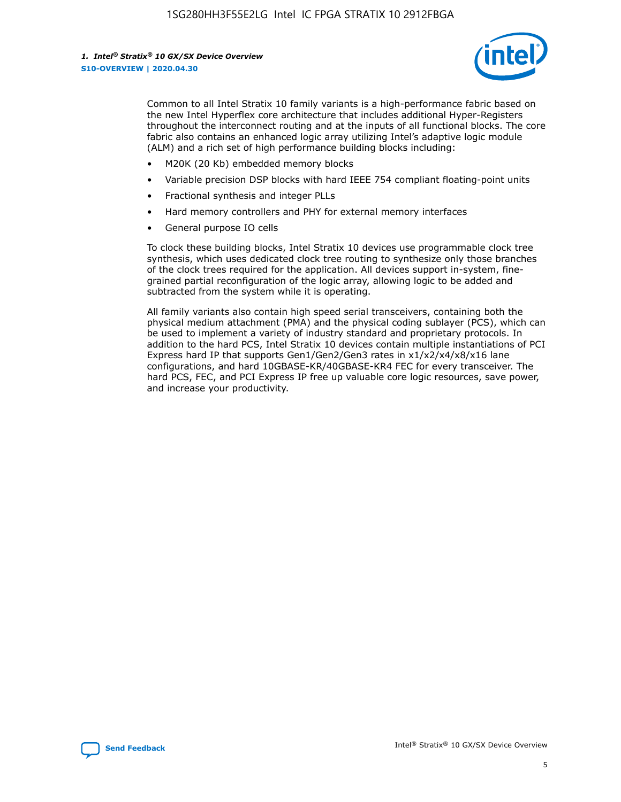

Common to all Intel Stratix 10 family variants is a high-performance fabric based on the new Intel Hyperflex core architecture that includes additional Hyper-Registers throughout the interconnect routing and at the inputs of all functional blocks. The core fabric also contains an enhanced logic array utilizing Intel's adaptive logic module (ALM) and a rich set of high performance building blocks including:

- M20K (20 Kb) embedded memory blocks
- Variable precision DSP blocks with hard IEEE 754 compliant floating-point units
- Fractional synthesis and integer PLLs
- Hard memory controllers and PHY for external memory interfaces
- General purpose IO cells

To clock these building blocks, Intel Stratix 10 devices use programmable clock tree synthesis, which uses dedicated clock tree routing to synthesize only those branches of the clock trees required for the application. All devices support in-system, finegrained partial reconfiguration of the logic array, allowing logic to be added and subtracted from the system while it is operating.

All family variants also contain high speed serial transceivers, containing both the physical medium attachment (PMA) and the physical coding sublayer (PCS), which can be used to implement a variety of industry standard and proprietary protocols. In addition to the hard PCS, Intel Stratix 10 devices contain multiple instantiations of PCI Express hard IP that supports Gen1/Gen2/Gen3 rates in x1/x2/x4/x8/x16 lane configurations, and hard 10GBASE-KR/40GBASE-KR4 FEC for every transceiver. The hard PCS, FEC, and PCI Express IP free up valuable core logic resources, save power, and increase your productivity.

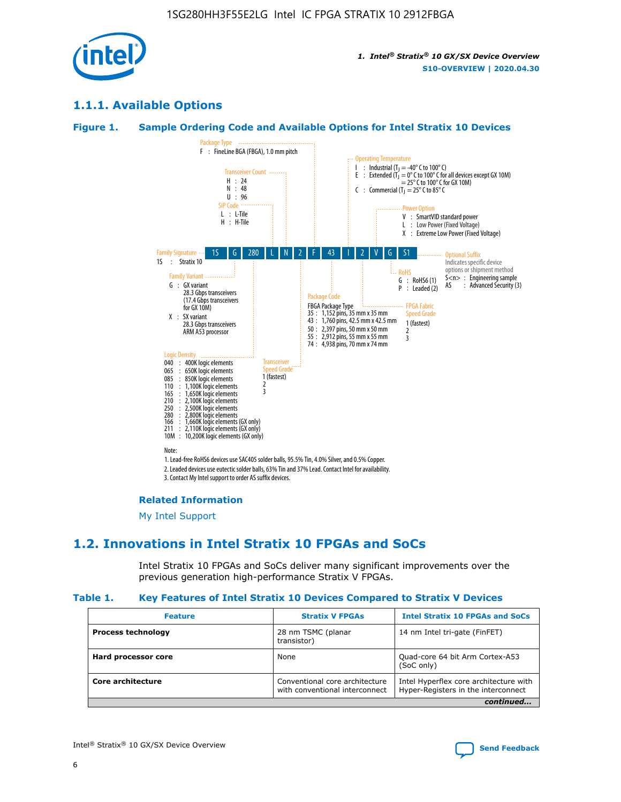

# **1.1.1. Available Options**

#### **Figure 1. Sample Ordering Code and Available Options for Intel Stratix 10 Devices**



3. Contact My Intel support to order AS suffix devices.

#### **Related Information**

[My Intel Support](https://www.intel.com/content/www/us/en/programmable/my-intel/mal-home.html)

# **1.2. Innovations in Intel Stratix 10 FPGAs and SoCs**

Intel Stratix 10 FPGAs and SoCs deliver many significant improvements over the previous generation high-performance Stratix V FPGAs.

#### **Table 1. Key Features of Intel Stratix 10 Devices Compared to Stratix V Devices**

| <b>Feature</b>            | <b>Stratix V FPGAs</b>                                           | <b>Intel Stratix 10 FPGAs and SoCs</b>                                        |  |
|---------------------------|------------------------------------------------------------------|-------------------------------------------------------------------------------|--|
| <b>Process technology</b> | 28 nm TSMC (planar<br>transistor)                                | 14 nm Intel tri-gate (FinFET)                                                 |  |
| Hard processor core       | None                                                             | Quad-core 64 bit Arm Cortex-A53<br>(SoC only)                                 |  |
| Core architecture         | Conventional core architecture<br>with conventional interconnect | Intel Hyperflex core architecture with<br>Hyper-Registers in the interconnect |  |
|                           |                                                                  | continued                                                                     |  |

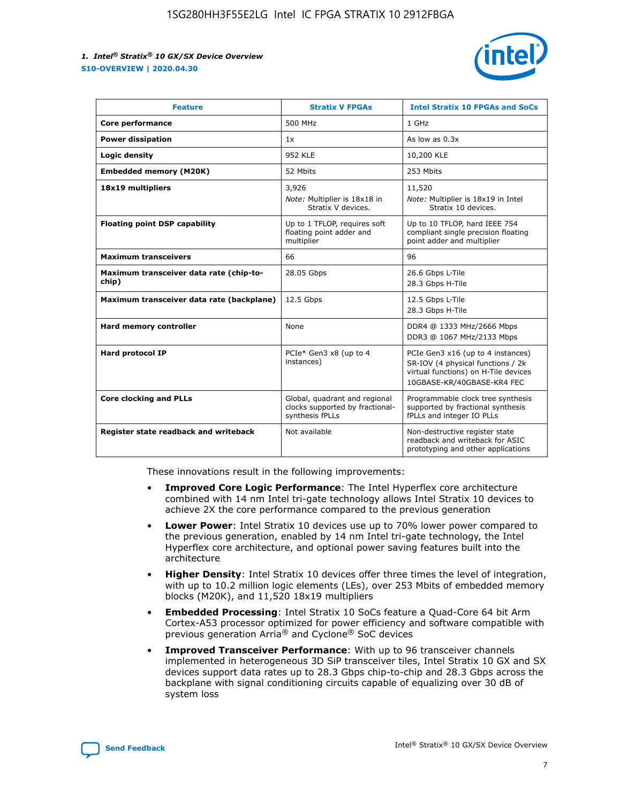

| <b>Feature</b>                                   | <b>Stratix V FPGAs</b>                                                              | <b>Intel Stratix 10 FPGAs and SoCs</b>                                                                                                       |
|--------------------------------------------------|-------------------------------------------------------------------------------------|----------------------------------------------------------------------------------------------------------------------------------------------|
| Core performance                                 | 500 MHz                                                                             | 1 GHz                                                                                                                                        |
| <b>Power dissipation</b>                         | 1x                                                                                  | As low as $0.3x$                                                                                                                             |
| Logic density                                    | <b>952 KLE</b>                                                                      | 10,200 KLE                                                                                                                                   |
| <b>Embedded memory (M20K)</b>                    | 52 Mbits                                                                            | 253 Mbits                                                                                                                                    |
| 18x19 multipliers                                | 3,926                                                                               | 11,520                                                                                                                                       |
|                                                  | Note: Multiplier is 18x18 in<br>Stratix V devices.                                  | Note: Multiplier is 18x19 in Intel<br>Stratix 10 devices.                                                                                    |
| <b>Floating point DSP capability</b>             | Up to 1 TFLOP, requires soft<br>floating point adder and<br>multiplier              | Up to 10 TFLOP, hard IEEE 754<br>compliant single precision floating<br>point adder and multiplier                                           |
| <b>Maximum transceivers</b>                      | 66                                                                                  | 96                                                                                                                                           |
| Maximum transceiver data rate (chip-to-<br>chip) | 28.05 Gbps                                                                          | 26.6 Gbps L-Tile<br>28.3 Gbps H-Tile                                                                                                         |
| Maximum transceiver data rate (backplane)        | 12.5 Gbps                                                                           | 12.5 Gbps L-Tile<br>28.3 Gbps H-Tile                                                                                                         |
| Hard memory controller                           | None                                                                                | DDR4 @ 1333 MHz/2666 Mbps<br>DDR3 @ 1067 MHz/2133 Mbps                                                                                       |
| <b>Hard protocol IP</b>                          | PCIe* Gen3 x8 (up to 4<br>instances)                                                | PCIe Gen3 x16 (up to 4 instances)<br>SR-IOV (4 physical functions / 2k<br>virtual functions) on H-Tile devices<br>10GBASE-KR/40GBASE-KR4 FEC |
| <b>Core clocking and PLLs</b>                    | Global, quadrant and regional<br>clocks supported by fractional-<br>synthesis fPLLs | Programmable clock tree synthesis<br>supported by fractional synthesis<br>fPLLs and integer IO PLLs                                          |
| Register state readback and writeback            | Not available                                                                       | Non-destructive register state<br>readback and writeback for ASIC<br>prototyping and other applications                                      |

These innovations result in the following improvements:

- **Improved Core Logic Performance**: The Intel Hyperflex core architecture combined with 14 nm Intel tri-gate technology allows Intel Stratix 10 devices to achieve 2X the core performance compared to the previous generation
- **Lower Power**: Intel Stratix 10 devices use up to 70% lower power compared to the previous generation, enabled by 14 nm Intel tri-gate technology, the Intel Hyperflex core architecture, and optional power saving features built into the architecture
- **Higher Density**: Intel Stratix 10 devices offer three times the level of integration, with up to 10.2 million logic elements (LEs), over 253 Mbits of embedded memory blocks (M20K), and 11,520 18x19 multipliers
- **Embedded Processing**: Intel Stratix 10 SoCs feature a Quad-Core 64 bit Arm Cortex-A53 processor optimized for power efficiency and software compatible with previous generation Arria® and Cyclone® SoC devices
- **Improved Transceiver Performance**: With up to 96 transceiver channels implemented in heterogeneous 3D SiP transceiver tiles, Intel Stratix 10 GX and SX devices support data rates up to 28.3 Gbps chip-to-chip and 28.3 Gbps across the backplane with signal conditioning circuits capable of equalizing over 30 dB of system loss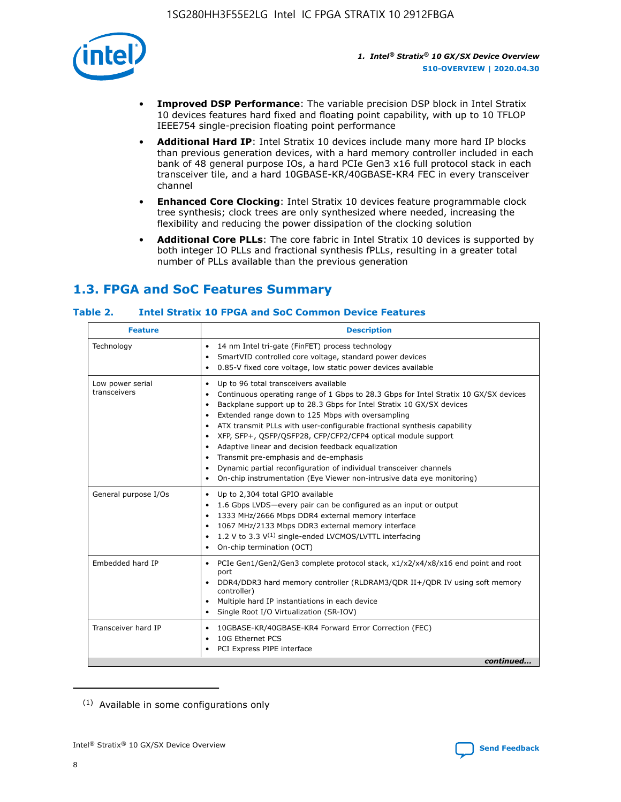

- **Improved DSP Performance**: The variable precision DSP block in Intel Stratix 10 devices features hard fixed and floating point capability, with up to 10 TFLOP IEEE754 single-precision floating point performance
- **Additional Hard IP**: Intel Stratix 10 devices include many more hard IP blocks than previous generation devices, with a hard memory controller included in each bank of 48 general purpose IOs, a hard PCIe Gen3 x16 full protocol stack in each transceiver tile, and a hard 10GBASE-KR/40GBASE-KR4 FEC in every transceiver channel
- **Enhanced Core Clocking**: Intel Stratix 10 devices feature programmable clock tree synthesis; clock trees are only synthesized where needed, increasing the flexibility and reducing the power dissipation of the clocking solution
- **Additional Core PLLs**: The core fabric in Intel Stratix 10 devices is supported by both integer IO PLLs and fractional synthesis fPLLs, resulting in a greater total number of PLLs available than the previous generation

# **1.3. FPGA and SoC Features Summary**

#### **Table 2. Intel Stratix 10 FPGA and SoC Common Device Features**

| Technology<br>14 nm Intel tri-gate (FinFET) process technology<br>٠<br>SmartVID controlled core voltage, standard power devices<br>0.85-V fixed core voltage, low static power devices available<br>Up to 96 total transceivers available<br>Low power serial<br>٠<br>transceivers<br>Continuous operating range of 1 Gbps to 28.3 Gbps for Intel Stratix 10 GX/SX devices<br>Backplane support up to 28.3 Gbps for Intel Stratix 10 GX/SX devices<br>$\bullet$<br>Extended range down to 125 Mbps with oversampling<br>$\bullet$<br>• ATX transmit PLLs with user-configurable fractional synthesis capability<br>XFP, SFP+, QSFP/QSFP28, CFP/CFP2/CFP4 optical module support<br>• Adaptive linear and decision feedback equalization<br>Transmit pre-emphasis and de-emphasis<br>Dynamic partial reconfiguration of individual transceiver channels<br>$\bullet$<br>On-chip instrumentation (Eye Viewer non-intrusive data eye monitoring)<br>General purpose I/Os<br>Up to 2,304 total GPIO available<br>$\bullet$<br>1.6 Gbps LVDS-every pair can be configured as an input or output<br>1333 MHz/2666 Mbps DDR4 external memory interface<br>1067 MHz/2133 Mbps DDR3 external memory interface<br>• 1.2 V to 3.3 $V^{(1)}$ single-ended LVCMOS/LVTTL interfacing<br>• On-chip termination (OCT)<br>Embedded hard IP<br>PCIe Gen1/Gen2/Gen3 complete protocol stack, x1/x2/x4/x8/x16 end point and root<br>$\bullet$<br>port<br>DDR4/DDR3 hard memory controller (RLDRAM3/QDR II+/QDR IV using soft memory<br>controller)<br>Multiple hard IP instantiations in each device<br>• Single Root I/O Virtualization (SR-IOV)<br>Transceiver hard IP<br>10GBASE-KR/40GBASE-KR4 Forward Error Correction (FEC)<br>$\bullet$<br>10G Ethernet PCS<br>$\bullet$ | <b>Feature</b> | <b>Description</b> |
|-------------------------------------------------------------------------------------------------------------------------------------------------------------------------------------------------------------------------------------------------------------------------------------------------------------------------------------------------------------------------------------------------------------------------------------------------------------------------------------------------------------------------------------------------------------------------------------------------------------------------------------------------------------------------------------------------------------------------------------------------------------------------------------------------------------------------------------------------------------------------------------------------------------------------------------------------------------------------------------------------------------------------------------------------------------------------------------------------------------------------------------------------------------------------------------------------------------------------------------------------------------------------------------------------------------------------------------------------------------------------------------------------------------------------------------------------------------------------------------------------------------------------------------------------------------------------------------------------------------------------------------------------------------------------------------------------------------------------------------------------------------|----------------|--------------------|
|                                                                                                                                                                                                                                                                                                                                                                                                                                                                                                                                                                                                                                                                                                                                                                                                                                                                                                                                                                                                                                                                                                                                                                                                                                                                                                                                                                                                                                                                                                                                                                                                                                                                                                                                                             |                |                    |
|                                                                                                                                                                                                                                                                                                                                                                                                                                                                                                                                                                                                                                                                                                                                                                                                                                                                                                                                                                                                                                                                                                                                                                                                                                                                                                                                                                                                                                                                                                                                                                                                                                                                                                                                                             |                |                    |
|                                                                                                                                                                                                                                                                                                                                                                                                                                                                                                                                                                                                                                                                                                                                                                                                                                                                                                                                                                                                                                                                                                                                                                                                                                                                                                                                                                                                                                                                                                                                                                                                                                                                                                                                                             |                |                    |
|                                                                                                                                                                                                                                                                                                                                                                                                                                                                                                                                                                                                                                                                                                                                                                                                                                                                                                                                                                                                                                                                                                                                                                                                                                                                                                                                                                                                                                                                                                                                                                                                                                                                                                                                                             |                |                    |
| PCI Express PIPE interface<br>continued                                                                                                                                                                                                                                                                                                                                                                                                                                                                                                                                                                                                                                                                                                                                                                                                                                                                                                                                                                                                                                                                                                                                                                                                                                                                                                                                                                                                                                                                                                                                                                                                                                                                                                                     |                |                    |

<sup>(1)</sup> Available in some configurations only

8

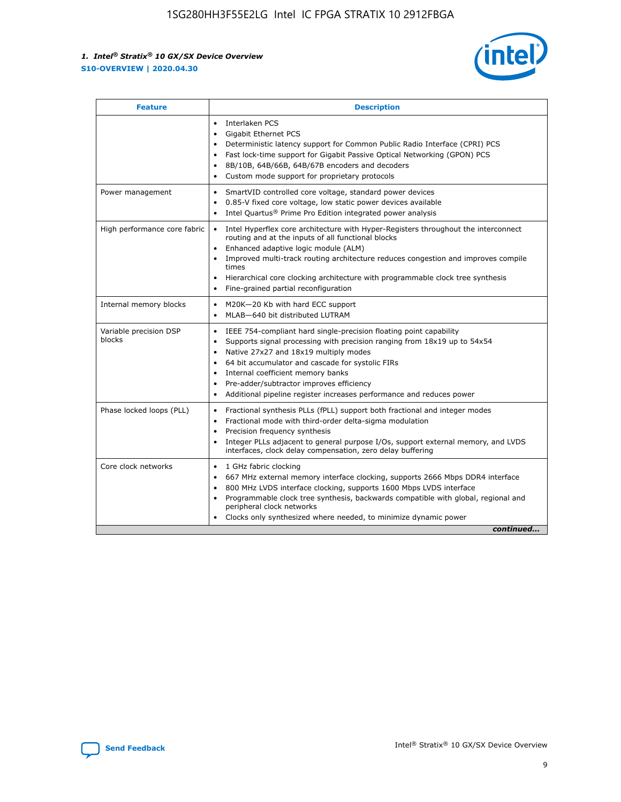

| <b>Feature</b>                   | <b>Description</b>                                                                                                                                                                                                                                                                                                                                                                                                                                                    |  |  |  |
|----------------------------------|-----------------------------------------------------------------------------------------------------------------------------------------------------------------------------------------------------------------------------------------------------------------------------------------------------------------------------------------------------------------------------------------------------------------------------------------------------------------------|--|--|--|
|                                  | Interlaken PCS<br>$\bullet$<br>Gigabit Ethernet PCS<br>$\bullet$<br>Deterministic latency support for Common Public Radio Interface (CPRI) PCS<br>$\bullet$<br>Fast lock-time support for Gigabit Passive Optical Networking (GPON) PCS<br>$\bullet$<br>8B/10B, 64B/66B, 64B/67B encoders and decoders<br>$\bullet$<br>Custom mode support for proprietary protocols<br>$\bullet$                                                                                     |  |  |  |
| Power management                 | SmartVID controlled core voltage, standard power devices<br>$\bullet$<br>0.85-V fixed core voltage, low static power devices available<br>$\bullet$<br>Intel Quartus <sup>®</sup> Prime Pro Edition integrated power analysis<br>$\bullet$                                                                                                                                                                                                                            |  |  |  |
| High performance core fabric     | Intel Hyperflex core architecture with Hyper-Registers throughout the interconnect<br>$\bullet$<br>routing and at the inputs of all functional blocks<br>Enhanced adaptive logic module (ALM)<br>$\bullet$<br>Improved multi-track routing architecture reduces congestion and improves compile<br>times<br>Hierarchical core clocking architecture with programmable clock tree synthesis<br>Fine-grained partial reconfiguration                                    |  |  |  |
| Internal memory blocks           | M20K-20 Kb with hard ECC support<br>٠<br>MLAB-640 bit distributed LUTRAM<br>$\bullet$                                                                                                                                                                                                                                                                                                                                                                                 |  |  |  |
| Variable precision DSP<br>blocks | IEEE 754-compliant hard single-precision floating point capability<br>$\bullet$<br>Supports signal processing with precision ranging from 18x19 up to 54x54<br>$\bullet$<br>Native 27x27 and 18x19 multiply modes<br>$\bullet$<br>64 bit accumulator and cascade for systolic FIRs<br>Internal coefficient memory banks<br>Pre-adder/subtractor improves efficiency<br>$\bullet$<br>Additional pipeline register increases performance and reduces power<br>$\bullet$ |  |  |  |
| Phase locked loops (PLL)         | Fractional synthesis PLLs (fPLL) support both fractional and integer modes<br>$\bullet$<br>Fractional mode with third-order delta-sigma modulation<br>Precision frequency synthesis<br>$\bullet$<br>Integer PLLs adjacent to general purpose I/Os, support external memory, and LVDS<br>$\bullet$<br>interfaces, clock delay compensation, zero delay buffering                                                                                                       |  |  |  |
| Core clock networks              | 1 GHz fabric clocking<br>$\bullet$<br>667 MHz external memory interface clocking, supports 2666 Mbps DDR4 interface<br>$\bullet$<br>800 MHz LVDS interface clocking, supports 1600 Mbps LVDS interface<br>$\bullet$<br>Programmable clock tree synthesis, backwards compatible with global, regional and<br>$\bullet$<br>peripheral clock networks<br>Clocks only synthesized where needed, to minimize dynamic power<br>continued                                    |  |  |  |

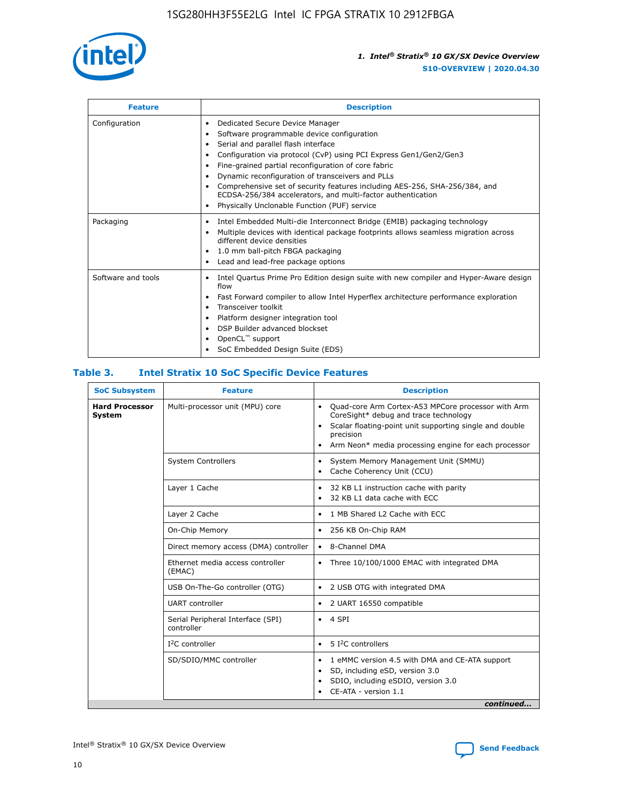

| <b>Feature</b>     | <b>Description</b>                                                                                                                                                                                                                                                                                                                                                                                                                                                                                                    |
|--------------------|-----------------------------------------------------------------------------------------------------------------------------------------------------------------------------------------------------------------------------------------------------------------------------------------------------------------------------------------------------------------------------------------------------------------------------------------------------------------------------------------------------------------------|
| Configuration      | Dedicated Secure Device Manager<br>٠<br>Software programmable device configuration<br>٠<br>Serial and parallel flash interface<br>٠<br>Configuration via protocol (CvP) using PCI Express Gen1/Gen2/Gen3<br>Fine-grained partial reconfiguration of core fabric<br>Dynamic reconfiguration of transceivers and PLLs<br>٠<br>Comprehensive set of security features including AES-256, SHA-256/384, and<br>ECDSA-256/384 accelerators, and multi-factor authentication<br>Physically Unclonable Function (PUF) service |
| Packaging          | Intel Embedded Multi-die Interconnect Bridge (EMIB) packaging technology<br>٠<br>Multiple devices with identical package footprints allows seamless migration across<br>٠<br>different device densities<br>1.0 mm ball-pitch FBGA packaging<br>٠<br>Lead and lead-free package options                                                                                                                                                                                                                                |
| Software and tools | Intel Quartus Prime Pro Edition design suite with new compiler and Hyper-Aware design<br>flow<br>Fast Forward compiler to allow Intel Hyperflex architecture performance exploration<br>٠<br>Transceiver toolkit<br>Platform designer integration tool<br>DSP Builder advanced blockset<br>OpenCL <sup>™</sup> support<br>SoC Embedded Design Suite (EDS)                                                                                                                                                             |

#### **Table 3. Intel Stratix 10 SoC Specific Device Features**

| <b>SoC Subsystem</b>            | <b>Feature</b>                                  | <b>Description</b>                                                                                                                                                                                                                                         |
|---------------------------------|-------------------------------------------------|------------------------------------------------------------------------------------------------------------------------------------------------------------------------------------------------------------------------------------------------------------|
| <b>Hard Processor</b><br>System | Multi-processor unit (MPU) core                 | Quad-core Arm Cortex-A53 MPCore processor with Arm<br>$\bullet$<br>CoreSight* debug and trace technology<br>Scalar floating-point unit supporting single and double<br>٠<br>precision<br>Arm Neon* media processing engine for each processor<br>$\bullet$ |
|                                 | <b>System Controllers</b>                       | System Memory Management Unit (SMMU)<br>٠<br>Cache Coherency Unit (CCU)<br>٠                                                                                                                                                                               |
|                                 | Layer 1 Cache                                   | 32 KB L1 instruction cache with parity<br>$\bullet$<br>32 KB L1 data cache with ECC<br>$\bullet$                                                                                                                                                           |
|                                 | Layer 2 Cache                                   | 1 MB Shared L2 Cache with ECC<br>$\bullet$                                                                                                                                                                                                                 |
|                                 | On-Chip Memory                                  | 256 KB On-Chip RAM<br>$\bullet$                                                                                                                                                                                                                            |
|                                 | Direct memory access (DMA) controller           | • 8-Channel DMA                                                                                                                                                                                                                                            |
|                                 | Ethernet media access controller<br>(EMAC)      | Three 10/100/1000 EMAC with integrated DMA<br>$\bullet$                                                                                                                                                                                                    |
|                                 | USB On-The-Go controller (OTG)                  | 2 USB OTG with integrated DMA<br>$\bullet$                                                                                                                                                                                                                 |
|                                 | <b>UART</b> controller                          | 2 UART 16550 compatible<br>$\bullet$                                                                                                                                                                                                                       |
|                                 | Serial Peripheral Interface (SPI)<br>controller | $\bullet$ 4 SPI                                                                                                                                                                                                                                            |
|                                 | $I2C$ controller                                | 5 <sup>2</sup> C controllers                                                                                                                                                                                                                               |
|                                 | SD/SDIO/MMC controller                          | 1 eMMC version 4.5 with DMA and CE-ATA support<br>$\bullet$<br>SD, including eSD, version 3.0<br>٠<br>SDIO, including eSDIO, version 3.0<br>$\bullet$<br>CE-ATA - version 1.1<br>continued                                                                 |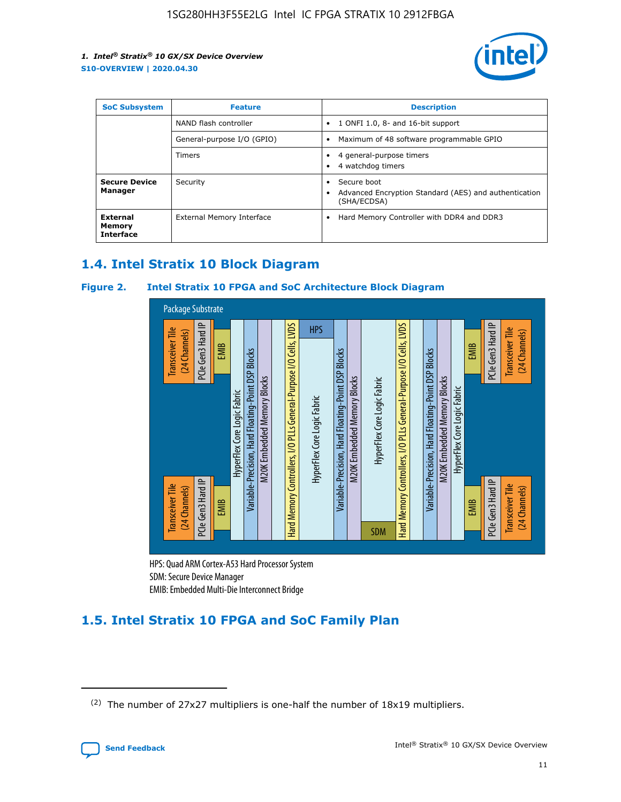

| <b>SoC Subsystem</b>                   | <b>Feature</b>             | <b>Description</b>                                                                                    |
|----------------------------------------|----------------------------|-------------------------------------------------------------------------------------------------------|
|                                        | NAND flash controller      | 1 ONFI 1.0, 8- and 16-bit support<br>$\bullet$                                                        |
|                                        | General-purpose I/O (GPIO) | Maximum of 48 software programmable GPIO<br>$\bullet$                                                 |
|                                        | Timers                     | 4 general-purpose timers<br>4 watchdog timers<br>٠                                                    |
| <b>Secure Device</b><br>Manager        | Security                   | Secure boot<br>$\bullet$<br>Advanced Encryption Standard (AES) and authentication<br>٠<br>(SHA/ECDSA) |
| External<br>Memory<br><b>Interface</b> | External Memory Interface  | Hard Memory Controller with DDR4 and DDR3<br>$\bullet$                                                |

# **1.4. Intel Stratix 10 Block Diagram**

#### **Figure 2. Intel Stratix 10 FPGA and SoC Architecture Block Diagram**



HPS: Quad ARM Cortex-A53 Hard Processor System SDM: Secure Device Manager

# **1.5. Intel Stratix 10 FPGA and SoC Family Plan**

<sup>(2)</sup> The number of 27x27 multipliers is one-half the number of 18x19 multipliers.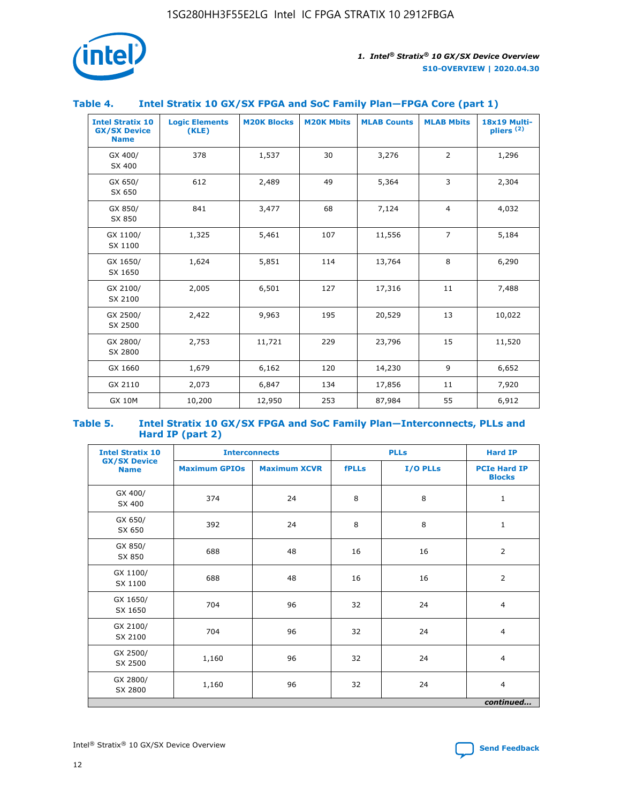

#### **Table 4. Intel Stratix 10 GX/SX FPGA and SoC Family Plan—FPGA Core (part 1)**

| <b>Intel Stratix 10</b><br><b>GX/SX Device</b><br><b>Name</b> | <b>Logic Elements</b><br>(KLE) | <b>M20K Blocks</b> | <b>M20K Mbits</b> | <b>MLAB Counts</b> | <b>MLAB Mbits</b> | 18x19 Multi-<br>pliers <sup>(2)</sup> |
|---------------------------------------------------------------|--------------------------------|--------------------|-------------------|--------------------|-------------------|---------------------------------------|
| GX 400/<br>SX 400                                             | 378                            | 1,537              | 30                | 3,276              | $\overline{2}$    | 1,296                                 |
| GX 650/<br>SX 650                                             | 612                            | 2,489              | 49                | 5,364              | 3                 | 2,304                                 |
| GX 850/<br>SX 850                                             | 841                            | 3,477              | 68                | 7,124              | $\overline{4}$    | 4,032                                 |
| GX 1100/<br>SX 1100                                           | 1,325                          | 5,461              | 107               | 11,556             | $\overline{7}$    | 5,184                                 |
| GX 1650/<br>SX 1650                                           | 1,624                          | 5,851              | 114               | 13,764             | 8                 | 6,290                                 |
| GX 2100/<br>SX 2100                                           | 2,005                          | 6,501              | 127               | 17,316             | 11                | 7,488                                 |
| GX 2500/<br>SX 2500                                           | 2,422                          | 9,963              | 195               | 20,529             | 13                | 10,022                                |
| GX 2800/<br>SX 2800                                           | 2,753                          | 11,721             | 229               | 23,796             | 15                | 11,520                                |
| GX 1660                                                       | 1,679                          | 6,162              | 120               | 14,230             | 9                 | 6,652                                 |
| GX 2110                                                       | 2,073                          | 6,847              | 134               | 17,856             | 11                | 7,920                                 |
| <b>GX 10M</b>                                                 | 10,200                         | 12,950             | 253               | 87,984             | 55                | 6,912                                 |

#### **Table 5. Intel Stratix 10 GX/SX FPGA and SoC Family Plan—Interconnects, PLLs and Hard IP (part 2)**

| <b>Intel Stratix 10</b>            |                      | <b>Interconnects</b> |              | <b>PLLs</b> |                                      |  |
|------------------------------------|----------------------|----------------------|--------------|-------------|--------------------------------------|--|
| <b>GX/SX Device</b><br><b>Name</b> | <b>Maximum GPIOs</b> | <b>Maximum XCVR</b>  | <b>fPLLs</b> | I/O PLLs    | <b>PCIe Hard IP</b><br><b>Blocks</b> |  |
| GX 400/<br>SX 400                  | 374                  | 24                   | 8            | 8           | $\mathbf{1}$                         |  |
| GX 650/<br>SX 650                  | 392                  | 24                   | 8            | 8           | $\mathbf{1}$                         |  |
| GX 850/<br>SX 850                  | 688                  | 48                   | 16           | 16          | 2                                    |  |
| GX 1100/<br>SX 1100                | 688                  | 48                   | 16           | 16          | 2                                    |  |
| GX 1650/<br>SX 1650                | 704                  | 96                   | 32           | 24          | $\overline{4}$                       |  |
| GX 2100/<br>SX 2100                | 704                  | 96                   | 32           | 24          | 4                                    |  |
| GX 2500/<br>SX 2500                | 1,160                | 96                   | 32           | 24          | $\overline{4}$                       |  |
| GX 2800/<br>SX 2800                | 1,160                | 96                   | 32           | 24          | $\overline{4}$                       |  |
| continued                          |                      |                      |              |             |                                      |  |

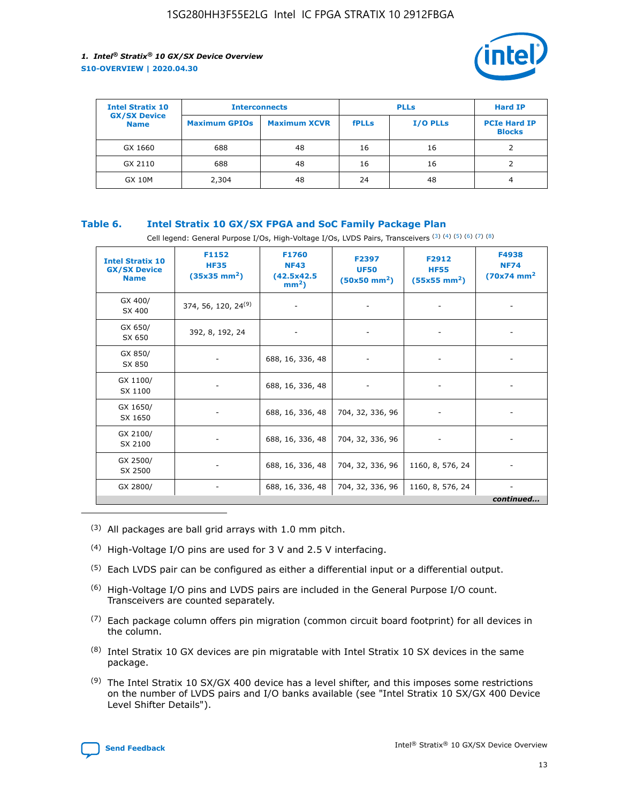

| <b>Intel Stratix 10</b>            |                      | <b>Interconnects</b> |              | <b>PLLs</b>     | <b>Hard IP</b>                       |
|------------------------------------|----------------------|----------------------|--------------|-----------------|--------------------------------------|
| <b>GX/SX Device</b><br><b>Name</b> | <b>Maximum GPIOs</b> | <b>Maximum XCVR</b>  | <b>fPLLs</b> | <b>I/O PLLs</b> | <b>PCIe Hard IP</b><br><b>Blocks</b> |
| GX 1660                            | 688                  | 48                   | 16           | 16              |                                      |
| GX 2110                            | 688                  | 48                   | 16           | 16              |                                      |
| <b>GX 10M</b>                      | 2,304                | 48                   | 24           | 48              | 4                                    |

#### **Table 6. Intel Stratix 10 GX/SX FPGA and SoC Family Package Plan**

Cell legend: General Purpose I/Os, High-Voltage I/Os, LVDS Pairs, Transceivers (3) (4) (5) (6) (7) (8)

| <b>Intel Stratix 10</b><br><b>GX/SX Device</b><br><b>Name</b> | F1152<br><b>HF35</b><br>$(35x35 \text{ mm}^2)$ | <b>F1760</b><br><b>NF43</b><br>(42.5x42.5<br>$mm2$ ) | F2397<br><b>UF50</b><br>$(50x50 \text{ mm}^2)$ | F2912<br><b>HF55</b><br>$(55x55 \text{ mm}^2)$ | F4938<br><b>NF74</b><br>$(70x74)$ mm <sup>2</sup> |
|---------------------------------------------------------------|------------------------------------------------|------------------------------------------------------|------------------------------------------------|------------------------------------------------|---------------------------------------------------|
| GX 400/<br>SX 400                                             | 374, 56, 120, 24 <sup>(9)</sup>                | $\overline{\phantom{a}}$                             | $\overline{\phantom{a}}$                       |                                                |                                                   |
| GX 650/<br>SX 650                                             | 392, 8, 192, 24                                | ٠                                                    | $\overline{\phantom{a}}$                       |                                                |                                                   |
| GX 850/<br>SX 850                                             |                                                | 688, 16, 336, 48                                     |                                                |                                                |                                                   |
| GX 1100/<br>SX 1100                                           |                                                | 688, 16, 336, 48                                     |                                                |                                                |                                                   |
| GX 1650/<br>SX 1650                                           |                                                | 688, 16, 336, 48                                     | 704, 32, 336, 96                               |                                                |                                                   |
| GX 2100/<br>SX 2100                                           |                                                | 688, 16, 336, 48                                     | 704, 32, 336, 96                               | -                                              | ۰                                                 |
| GX 2500/<br>SX 2500                                           |                                                | 688, 16, 336, 48                                     | 704, 32, 336, 96                               | 1160, 8, 576, 24                               |                                                   |
| GX 2800/                                                      | $\overline{\phantom{a}}$                       | 688, 16, 336, 48                                     | 704, 32, 336, 96                               | 1160, 8, 576, 24                               | ٠<br>continued                                    |

- (3) All packages are ball grid arrays with 1.0 mm pitch.
- (4) High-Voltage I/O pins are used for 3 V and 2.5 V interfacing.
- $(5)$  Each LVDS pair can be configured as either a differential input or a differential output.
- (6) High-Voltage I/O pins and LVDS pairs are included in the General Purpose I/O count. Transceivers are counted separately.
- $(7)$  Each package column offers pin migration (common circuit board footprint) for all devices in the column.
- $(8)$  Intel Stratix 10 GX devices are pin migratable with Intel Stratix 10 SX devices in the same package.
- $(9)$  The Intel Stratix 10 SX/GX 400 device has a level shifter, and this imposes some restrictions on the number of LVDS pairs and I/O banks available (see "Intel Stratix 10 SX/GX 400 Device Level Shifter Details").

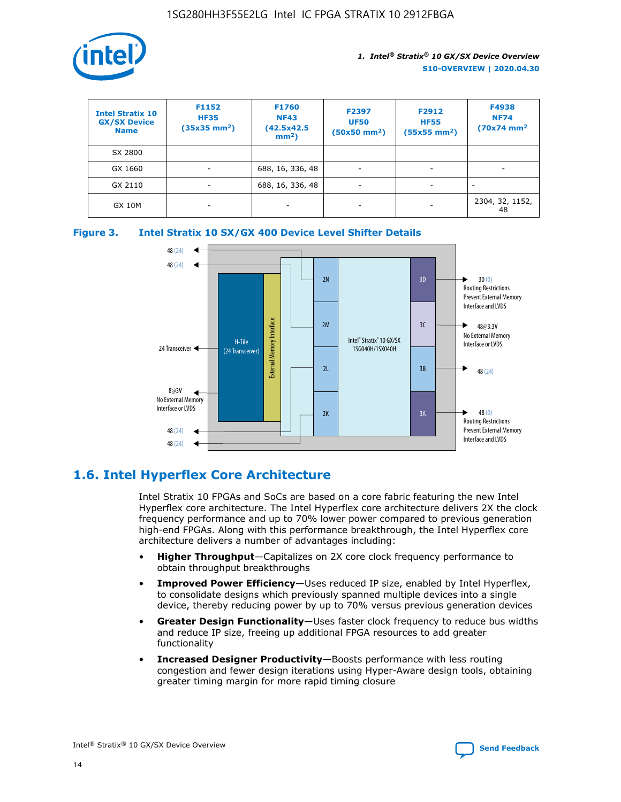

| <b>Intel Stratix 10</b><br><b>GX/SX Device</b><br><b>Name</b> | F1152<br><b>HF35</b><br>$(35x35)$ mm <sup>2</sup> ) | <b>F1760</b><br><b>NF43</b><br>(42.5x42.5<br>$mm2$ ) | F2397<br><b>UF50</b><br>$(50x50 \text{ mm}^2)$ | F2912<br><b>HF55</b><br>$(55x55$ mm <sup>2</sup> ) | F4938<br><b>NF74</b><br>$(70x74)$ mm <sup>2</sup> |
|---------------------------------------------------------------|-----------------------------------------------------|------------------------------------------------------|------------------------------------------------|----------------------------------------------------|---------------------------------------------------|
| SX 2800                                                       |                                                     |                                                      |                                                |                                                    |                                                   |
| GX 1660                                                       | -                                                   | 688, 16, 336, 48                                     | $\overline{\phantom{a}}$                       |                                                    |                                                   |
| GX 2110                                                       |                                                     | 688, 16, 336, 48                                     | $\overline{\phantom{a}}$                       |                                                    |                                                   |
| <b>GX 10M</b>                                                 | ۰                                                   |                                                      |                                                |                                                    | 2304, 32, 1152,<br>48                             |





# **1.6. Intel Hyperflex Core Architecture**

Intel Stratix 10 FPGAs and SoCs are based on a core fabric featuring the new Intel Hyperflex core architecture. The Intel Hyperflex core architecture delivers 2X the clock frequency performance and up to 70% lower power compared to previous generation high-end FPGAs. Along with this performance breakthrough, the Intel Hyperflex core architecture delivers a number of advantages including:

- **Higher Throughput**—Capitalizes on 2X core clock frequency performance to obtain throughput breakthroughs
- **Improved Power Efficiency**—Uses reduced IP size, enabled by Intel Hyperflex, to consolidate designs which previously spanned multiple devices into a single device, thereby reducing power by up to 70% versus previous generation devices
- **Greater Design Functionality**—Uses faster clock frequency to reduce bus widths and reduce IP size, freeing up additional FPGA resources to add greater functionality
- **Increased Designer Productivity**—Boosts performance with less routing congestion and fewer design iterations using Hyper-Aware design tools, obtaining greater timing margin for more rapid timing closure

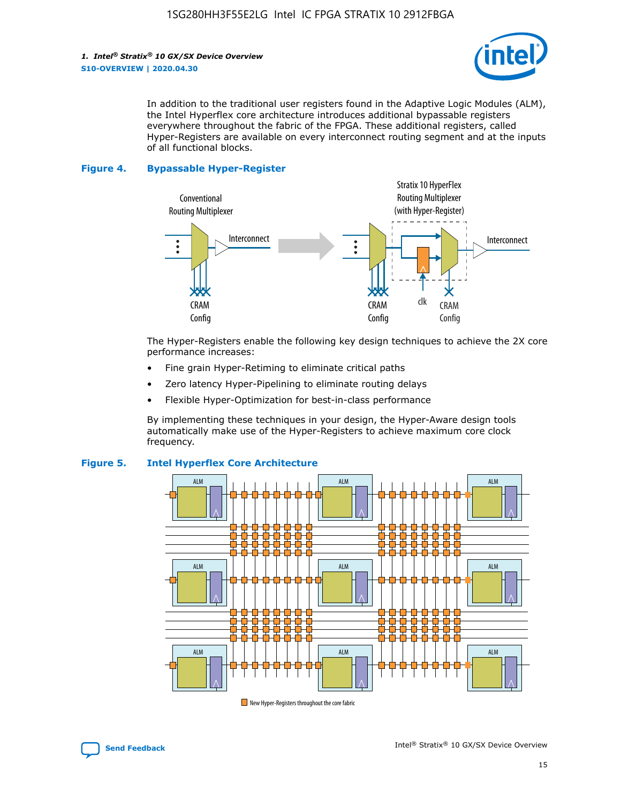

In addition to the traditional user registers found in the Adaptive Logic Modules (ALM), the Intel Hyperflex core architecture introduces additional bypassable registers everywhere throughout the fabric of the FPGA. These additional registers, called Hyper-Registers are available on every interconnect routing segment and at the inputs of all functional blocks.

#### **Figure 4. Bypassable Hyper-Register**



The Hyper-Registers enable the following key design techniques to achieve the 2X core performance increases:

- Fine grain Hyper-Retiming to eliminate critical paths
- Zero latency Hyper-Pipelining to eliminate routing delays
- Flexible Hyper-Optimization for best-in-class performance

By implementing these techniques in your design, the Hyper-Aware design tools automatically make use of the Hyper-Registers to achieve maximum core clock frequency.



#### **Figure 5. Intel Hyperflex Core Architecture**

New Hyper-Registers throughout the core fabric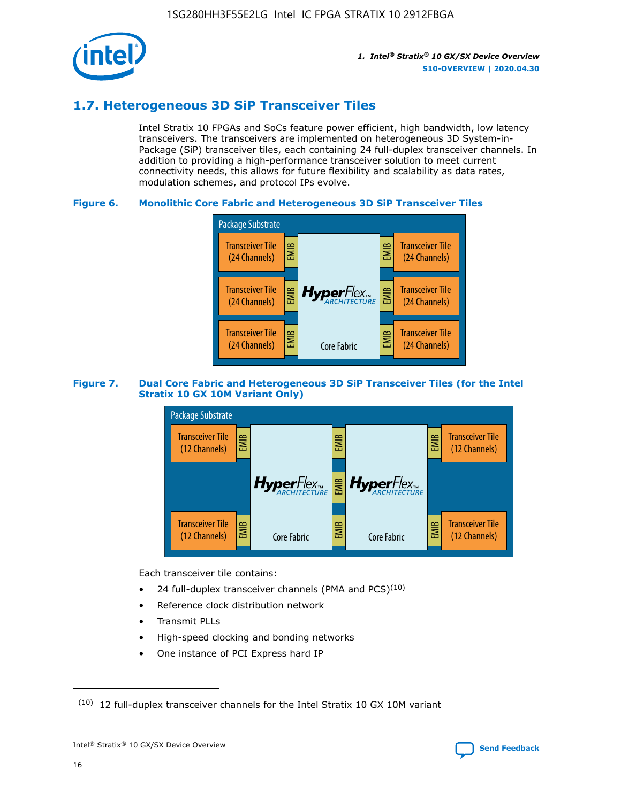

# **1.7. Heterogeneous 3D SiP Transceiver Tiles**

Intel Stratix 10 FPGAs and SoCs feature power efficient, high bandwidth, low latency transceivers. The transceivers are implemented on heterogeneous 3D System-in-Package (SiP) transceiver tiles, each containing 24 full-duplex transceiver channels. In addition to providing a high-performance transceiver solution to meet current connectivity needs, this allows for future flexibility and scalability as data rates, modulation schemes, and protocol IPs evolve.

#### **Figure 6. Monolithic Core Fabric and Heterogeneous 3D SiP Transceiver Tiles**



#### **Figure 7. Dual Core Fabric and Heterogeneous 3D SiP Transceiver Tiles (for the Intel Stratix 10 GX 10M Variant Only)**



Each transceiver tile contains:

- 24 full-duplex transceiver channels (PMA and PCS) $(10)$
- Reference clock distribution network
- Transmit PLLs
- High-speed clocking and bonding networks
- One instance of PCI Express hard IP

 $(10)$  12 full-duplex transceiver channels for the Intel Stratix 10 GX 10M variant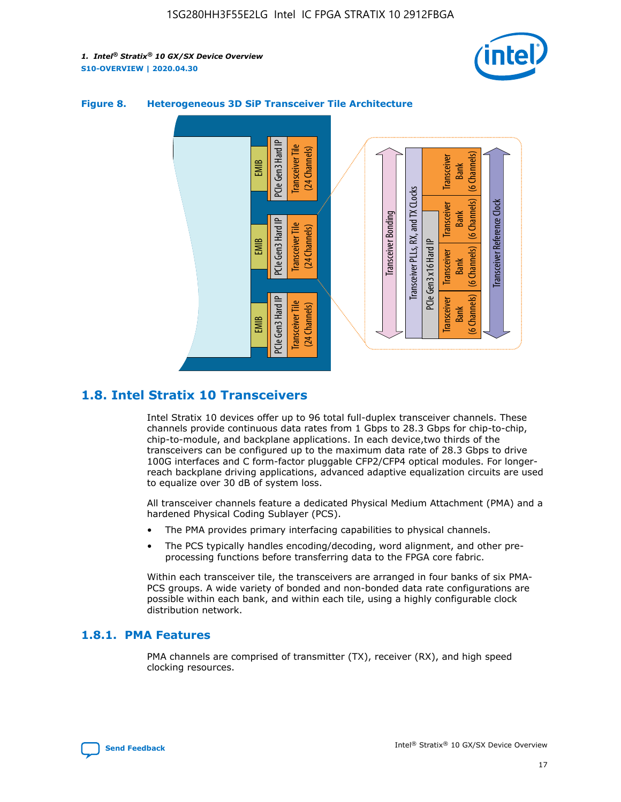



#### **Figure 8. Heterogeneous 3D SiP Transceiver Tile Architecture**

# **1.8. Intel Stratix 10 Transceivers**

Intel Stratix 10 devices offer up to 96 total full-duplex transceiver channels. These channels provide continuous data rates from 1 Gbps to 28.3 Gbps for chip-to-chip, chip-to-module, and backplane applications. In each device,two thirds of the transceivers can be configured up to the maximum data rate of 28.3 Gbps to drive 100G interfaces and C form-factor pluggable CFP2/CFP4 optical modules. For longerreach backplane driving applications, advanced adaptive equalization circuits are used to equalize over 30 dB of system loss.

All transceiver channels feature a dedicated Physical Medium Attachment (PMA) and a hardened Physical Coding Sublayer (PCS).

- The PMA provides primary interfacing capabilities to physical channels.
- The PCS typically handles encoding/decoding, word alignment, and other preprocessing functions before transferring data to the FPGA core fabric.

Within each transceiver tile, the transceivers are arranged in four banks of six PMA-PCS groups. A wide variety of bonded and non-bonded data rate configurations are possible within each bank, and within each tile, using a highly configurable clock distribution network.

#### **1.8.1. PMA Features**

PMA channels are comprised of transmitter (TX), receiver (RX), and high speed clocking resources.

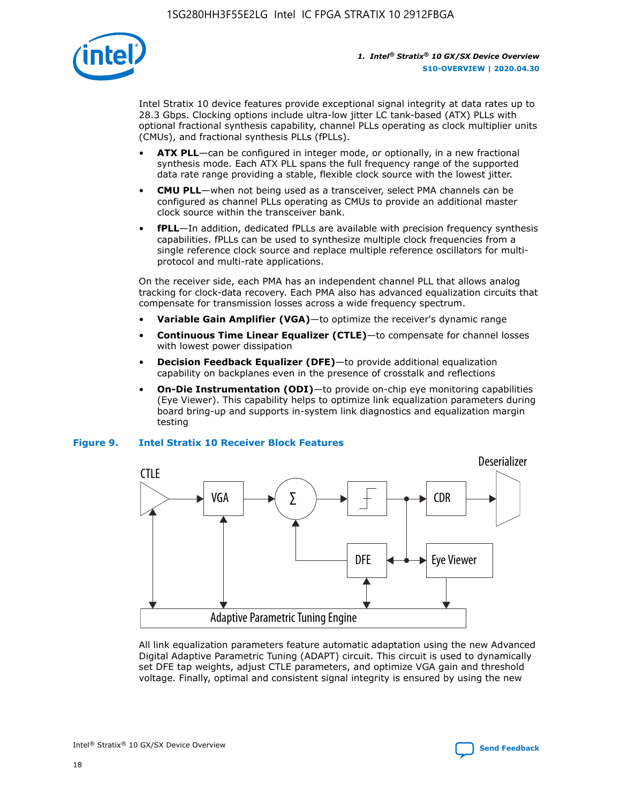

Intel Stratix 10 device features provide exceptional signal integrity at data rates up to 28.3 Gbps. Clocking options include ultra-low jitter LC tank-based (ATX) PLLs with optional fractional synthesis capability, channel PLLs operating as clock multiplier units (CMUs), and fractional synthesis PLLs (fPLLs).

- **ATX PLL**—can be configured in integer mode, or optionally, in a new fractional synthesis mode. Each ATX PLL spans the full frequency range of the supported data rate range providing a stable, flexible clock source with the lowest jitter.
- **CMU PLL**—when not being used as a transceiver, select PMA channels can be configured as channel PLLs operating as CMUs to provide an additional master clock source within the transceiver bank.
- **fPLL**—In addition, dedicated fPLLs are available with precision frequency synthesis capabilities. fPLLs can be used to synthesize multiple clock frequencies from a single reference clock source and replace multiple reference oscillators for multiprotocol and multi-rate applications.

On the receiver side, each PMA has an independent channel PLL that allows analog tracking for clock-data recovery. Each PMA also has advanced equalization circuits that compensate for transmission losses across a wide frequency spectrum.

- **Variable Gain Amplifier (VGA)**—to optimize the receiver's dynamic range
- **Continuous Time Linear Equalizer (CTLE)**—to compensate for channel losses with lowest power dissipation
- **Decision Feedback Equalizer (DFE)**—to provide additional equalization capability on backplanes even in the presence of crosstalk and reflections
- **On-Die Instrumentation (ODI)**—to provide on-chip eye monitoring capabilities (Eye Viewer). This capability helps to optimize link equalization parameters during board bring-up and supports in-system link diagnostics and equalization margin testing

#### **Figure 9. Intel Stratix 10 Receiver Block Features**



All link equalization parameters feature automatic adaptation using the new Advanced Digital Adaptive Parametric Tuning (ADAPT) circuit. This circuit is used to dynamically set DFE tap weights, adjust CTLE parameters, and optimize VGA gain and threshold voltage. Finally, optimal and consistent signal integrity is ensured by using the new



Intel<sup>®</sup> Stratix<sup>®</sup> 10 GX/SX Device Overview **[Send Feedback](mailto:FPGAtechdocfeedback@intel.com?subject=Feedback%20on%20Intel%20Stratix%2010%20GX/SX%20Device%20Overview%20(S10-OVERVIEW%202020.04.30)&body=We%20appreciate%20your%20feedback.%20In%20your%20comments,%20also%20specify%20the%20page%20number%20or%20paragraph.%20Thank%20you.)** Send Feedback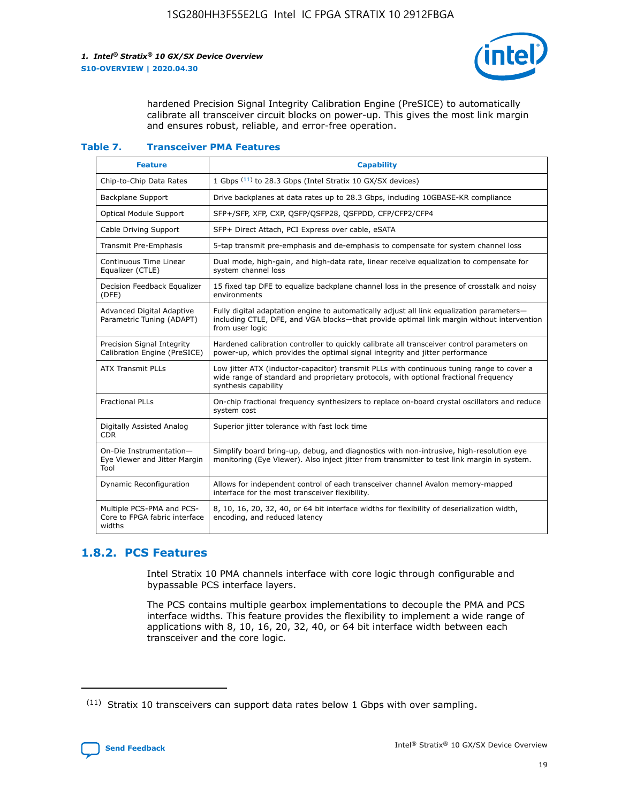

hardened Precision Signal Integrity Calibration Engine (PreSICE) to automatically calibrate all transceiver circuit blocks on power-up. This gives the most link margin and ensures robust, reliable, and error-free operation.

#### **Table 7. Transceiver PMA Features**

| <b>Feature</b>                                                       | <b>Capability</b>                                                                                                                                                                                         |
|----------------------------------------------------------------------|-----------------------------------------------------------------------------------------------------------------------------------------------------------------------------------------------------------|
| Chip-to-Chip Data Rates                                              | 1 Gbps (11) to 28.3 Gbps (Intel Stratix 10 GX/SX devices)                                                                                                                                                 |
| <b>Backplane Support</b>                                             | Drive backplanes at data rates up to 28.3 Gbps, including 10GBASE-KR compliance                                                                                                                           |
| Optical Module Support                                               | SFP+/SFP, XFP, CXP, QSFP/QSFP28, QSFPDD, CFP/CFP2/CFP4                                                                                                                                                    |
| Cable Driving Support                                                | SFP+ Direct Attach, PCI Express over cable, eSATA                                                                                                                                                         |
| <b>Transmit Pre-Emphasis</b>                                         | 5-tap transmit pre-emphasis and de-emphasis to compensate for system channel loss                                                                                                                         |
| Continuous Time Linear<br>Equalizer (CTLE)                           | Dual mode, high-gain, and high-data rate, linear receive equalization to compensate for<br>system channel loss                                                                                            |
| Decision Feedback Equalizer<br>(DFE)                                 | 15 fixed tap DFE to equalize backplane channel loss in the presence of crosstalk and noisy<br>environments                                                                                                |
| Advanced Digital Adaptive<br>Parametric Tuning (ADAPT)               | Fully digital adaptation engine to automatically adjust all link equalization parameters-<br>including CTLE, DFE, and VGA blocks-that provide optimal link margin without intervention<br>from user logic |
| Precision Signal Integrity<br>Calibration Engine (PreSICE)           | Hardened calibration controller to quickly calibrate all transceiver control parameters on<br>power-up, which provides the optimal signal integrity and jitter performance                                |
| <b>ATX Transmit PLLs</b>                                             | Low jitter ATX (inductor-capacitor) transmit PLLs with continuous tuning range to cover a<br>wide range of standard and proprietary protocols, with optional fractional frequency<br>synthesis capability |
| <b>Fractional PLLs</b>                                               | On-chip fractional frequency synthesizers to replace on-board crystal oscillators and reduce<br>system cost                                                                                               |
| Digitally Assisted Analog<br>CDR.                                    | Superior jitter tolerance with fast lock time                                                                                                                                                             |
| On-Die Instrumentation-<br>Eye Viewer and Jitter Margin<br>Tool      | Simplify board bring-up, debug, and diagnostics with non-intrusive, high-resolution eye<br>monitoring (Eye Viewer). Also inject jitter from transmitter to test link margin in system.                    |
| Dynamic Reconfiguration                                              | Allows for independent control of each transceiver channel Avalon memory-mapped<br>interface for the most transceiver flexibility.                                                                        |
| Multiple PCS-PMA and PCS-<br>Core to FPGA fabric interface<br>widths | 8, 10, 16, 20, 32, 40, or 64 bit interface widths for flexibility of deserialization width,<br>encoding, and reduced latency                                                                              |

### **1.8.2. PCS Features**

Intel Stratix 10 PMA channels interface with core logic through configurable and bypassable PCS interface layers.

The PCS contains multiple gearbox implementations to decouple the PMA and PCS interface widths. This feature provides the flexibility to implement a wide range of applications with 8, 10, 16, 20, 32, 40, or 64 bit interface width between each transceiver and the core logic.

<sup>(11)</sup> Stratix 10 transceivers can support data rates below 1 Gbps with over sampling.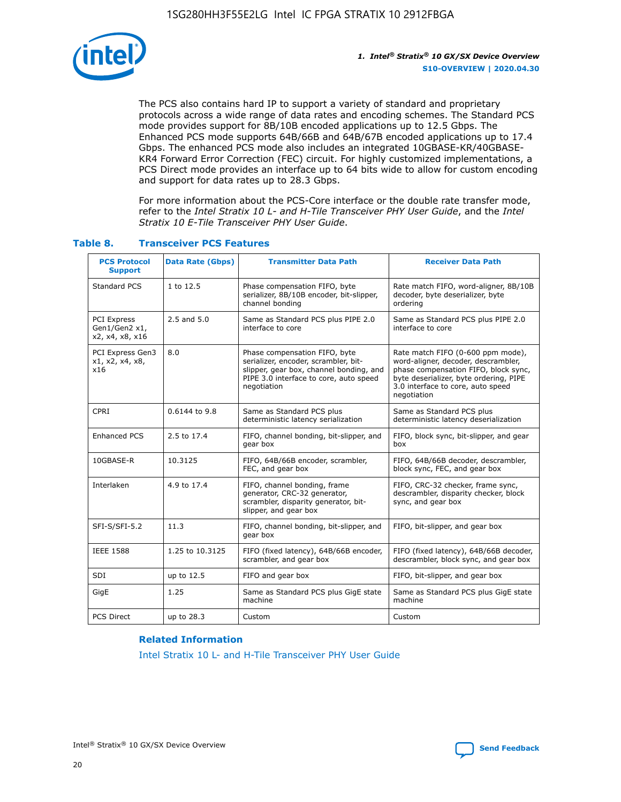

The PCS also contains hard IP to support a variety of standard and proprietary protocols across a wide range of data rates and encoding schemes. The Standard PCS mode provides support for 8B/10B encoded applications up to 12.5 Gbps. The Enhanced PCS mode supports 64B/66B and 64B/67B encoded applications up to 17.4 Gbps. The enhanced PCS mode also includes an integrated 10GBASE-KR/40GBASE-KR4 Forward Error Correction (FEC) circuit. For highly customized implementations, a PCS Direct mode provides an interface up to 64 bits wide to allow for custom encoding and support for data rates up to 28.3 Gbps.

For more information about the PCS-Core interface or the double rate transfer mode, refer to the *Intel Stratix 10 L- and H-Tile Transceiver PHY User Guide*, and the *Intel Stratix 10 E-Tile Transceiver PHY User Guide*.

| <b>PCS Protocol</b><br><b>Support</b>           | <b>Data Rate (Gbps)</b> | <b>Transmitter Data Path</b>                                                                                                                                              | <b>Receiver Data Path</b>                                                                                                                                                                                      |
|-------------------------------------------------|-------------------------|---------------------------------------------------------------------------------------------------------------------------------------------------------------------------|----------------------------------------------------------------------------------------------------------------------------------------------------------------------------------------------------------------|
| Standard PCS                                    | 1 to 12.5               | Phase compensation FIFO, byte<br>serializer, 8B/10B encoder, bit-slipper,<br>channel bonding                                                                              | Rate match FIFO, word-aligner, 8B/10B<br>decoder, byte deserializer, byte<br>ordering                                                                                                                          |
| PCI Express<br>Gen1/Gen2 x1,<br>x2, x4, x8, x16 | $2.5$ and $5.0$         | Same as Standard PCS plus PIPE 2.0<br>interface to core                                                                                                                   | Same as Standard PCS plus PIPE 2.0<br>interface to core                                                                                                                                                        |
| PCI Express Gen3<br>x1, x2, x4, x8,<br>x16      | 8.0                     | Phase compensation FIFO, byte<br>serializer, encoder, scrambler, bit-<br>slipper, gear box, channel bonding, and<br>PIPE 3.0 interface to core, auto speed<br>negotiation | Rate match FIFO (0-600 ppm mode),<br>word-aligner, decoder, descrambler,<br>phase compensation FIFO, block sync,<br>byte deserializer, byte ordering, PIPE<br>3.0 interface to core, auto speed<br>negotiation |
| CPRI                                            | 0.6144 to 9.8           | Same as Standard PCS plus<br>deterministic latency serialization                                                                                                          | Same as Standard PCS plus<br>deterministic latency deserialization                                                                                                                                             |
| <b>Enhanced PCS</b>                             | 2.5 to 17.4             | FIFO, channel bonding, bit-slipper, and<br>gear box                                                                                                                       | FIFO, block sync, bit-slipper, and gear<br>box                                                                                                                                                                 |
| 10GBASE-R                                       | 10.3125                 | FIFO, 64B/66B encoder, scrambler,<br>FEC, and gear box                                                                                                                    | FIFO, 64B/66B decoder, descrambler,<br>block sync, FEC, and gear box                                                                                                                                           |
| Interlaken                                      | 4.9 to 17.4             | FIFO, channel bonding, frame<br>generator, CRC-32 generator,<br>scrambler, disparity generator, bit-<br>slipper, and gear box                                             | FIFO, CRC-32 checker, frame sync,<br>descrambler, disparity checker, block<br>sync, and gear box                                                                                                               |
| SFI-S/SFI-5.2                                   | 11.3                    | FIFO, channel bonding, bit-slipper, and<br>gear box                                                                                                                       | FIFO, bit-slipper, and gear box                                                                                                                                                                                |
| <b>IEEE 1588</b>                                | 1.25 to 10.3125         | FIFO (fixed latency), 64B/66B encoder,<br>scrambler, and gear box                                                                                                         | FIFO (fixed latency), 64B/66B decoder,<br>descrambler, block sync, and gear box                                                                                                                                |
| SDI                                             | up to 12.5              | FIFO and gear box                                                                                                                                                         | FIFO, bit-slipper, and gear box                                                                                                                                                                                |
| GigE                                            | 1.25                    | Same as Standard PCS plus GigE state<br>machine                                                                                                                           | Same as Standard PCS plus GigE state<br>machine                                                                                                                                                                |
| <b>PCS Direct</b>                               | up to 28.3              | Custom                                                                                                                                                                    | Custom                                                                                                                                                                                                         |

#### **Table 8. Transceiver PCS Features**

#### **Related Information**

[Intel Stratix 10 L- and H-Tile Transceiver PHY User Guide](https://www.altera.com/documentation/wry1479165198810.html)

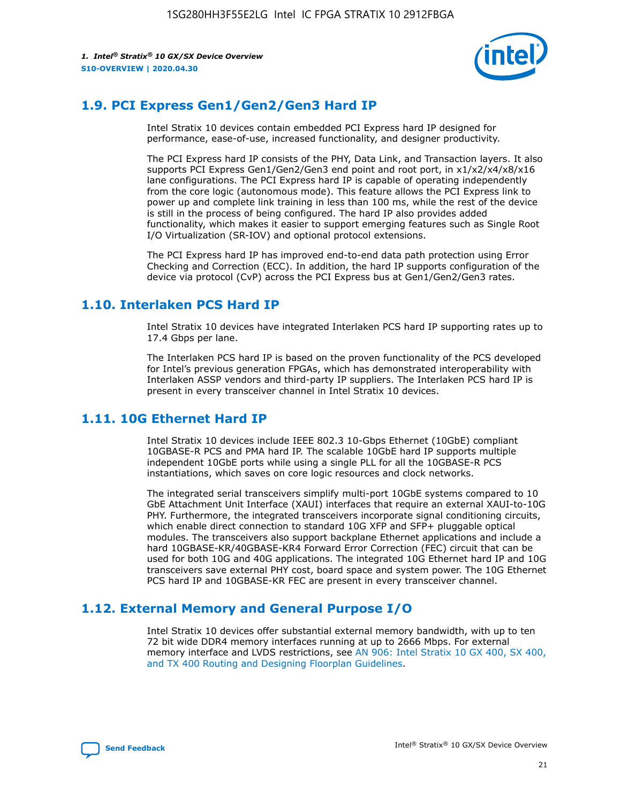

# **1.9. PCI Express Gen1/Gen2/Gen3 Hard IP**

Intel Stratix 10 devices contain embedded PCI Express hard IP designed for performance, ease-of-use, increased functionality, and designer productivity.

The PCI Express hard IP consists of the PHY, Data Link, and Transaction layers. It also supports PCI Express Gen1/Gen2/Gen3 end point and root port, in x1/x2/x4/x8/x16 lane configurations. The PCI Express hard IP is capable of operating independently from the core logic (autonomous mode). This feature allows the PCI Express link to power up and complete link training in less than 100 ms, while the rest of the device is still in the process of being configured. The hard IP also provides added functionality, which makes it easier to support emerging features such as Single Root I/O Virtualization (SR-IOV) and optional protocol extensions.

The PCI Express hard IP has improved end-to-end data path protection using Error Checking and Correction (ECC). In addition, the hard IP supports configuration of the device via protocol (CvP) across the PCI Express bus at Gen1/Gen2/Gen3 rates.

# **1.10. Interlaken PCS Hard IP**

Intel Stratix 10 devices have integrated Interlaken PCS hard IP supporting rates up to 17.4 Gbps per lane.

The Interlaken PCS hard IP is based on the proven functionality of the PCS developed for Intel's previous generation FPGAs, which has demonstrated interoperability with Interlaken ASSP vendors and third-party IP suppliers. The Interlaken PCS hard IP is present in every transceiver channel in Intel Stratix 10 devices.

# **1.11. 10G Ethernet Hard IP**

Intel Stratix 10 devices include IEEE 802.3 10-Gbps Ethernet (10GbE) compliant 10GBASE-R PCS and PMA hard IP. The scalable 10GbE hard IP supports multiple independent 10GbE ports while using a single PLL for all the 10GBASE-R PCS instantiations, which saves on core logic resources and clock networks.

The integrated serial transceivers simplify multi-port 10GbE systems compared to 10 GbE Attachment Unit Interface (XAUI) interfaces that require an external XAUI-to-10G PHY. Furthermore, the integrated transceivers incorporate signal conditioning circuits, which enable direct connection to standard 10G XFP and SFP+ pluggable optical modules. The transceivers also support backplane Ethernet applications and include a hard 10GBASE-KR/40GBASE-KR4 Forward Error Correction (FEC) circuit that can be used for both 10G and 40G applications. The integrated 10G Ethernet hard IP and 10G transceivers save external PHY cost, board space and system power. The 10G Ethernet PCS hard IP and 10GBASE-KR FEC are present in every transceiver channel.

# **1.12. External Memory and General Purpose I/O**

Intel Stratix 10 devices offer substantial external memory bandwidth, with up to ten 72 bit wide DDR4 memory interfaces running at up to 2666 Mbps. For external memory interface and LVDS restrictions, see [AN 906: Intel Stratix 10 GX 400, SX 400,](https://www.intel.com/content/www/us/en/programmable/documentation/sjf1574667190623.html#bft1574667627484) [and TX 400 Routing and Designing Floorplan Guidelines.](https://www.intel.com/content/www/us/en/programmable/documentation/sjf1574667190623.html#bft1574667627484)

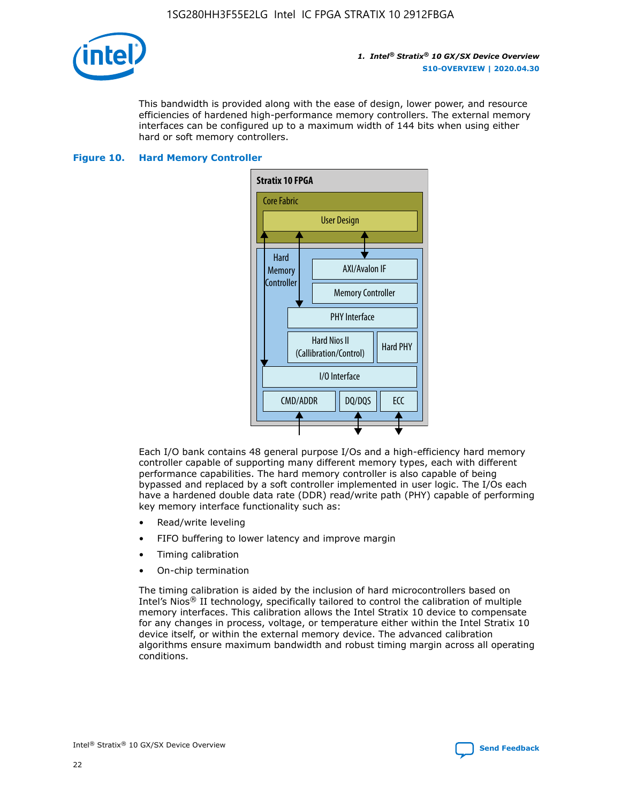

This bandwidth is provided along with the ease of design, lower power, and resource efficiencies of hardened high-performance memory controllers. The external memory interfaces can be configured up to a maximum width of 144 bits when using either hard or soft memory controllers.

#### **Figure 10. Hard Memory Controller**



Each I/O bank contains 48 general purpose I/Os and a high-efficiency hard memory controller capable of supporting many different memory types, each with different performance capabilities. The hard memory controller is also capable of being bypassed and replaced by a soft controller implemented in user logic. The I/Os each have a hardened double data rate (DDR) read/write path (PHY) capable of performing key memory interface functionality such as:

- Read/write leveling
- FIFO buffering to lower latency and improve margin
- Timing calibration
- On-chip termination

The timing calibration is aided by the inclusion of hard microcontrollers based on Intel's Nios® II technology, specifically tailored to control the calibration of multiple memory interfaces. This calibration allows the Intel Stratix 10 device to compensate for any changes in process, voltage, or temperature either within the Intel Stratix 10 device itself, or within the external memory device. The advanced calibration algorithms ensure maximum bandwidth and robust timing margin across all operating conditions.

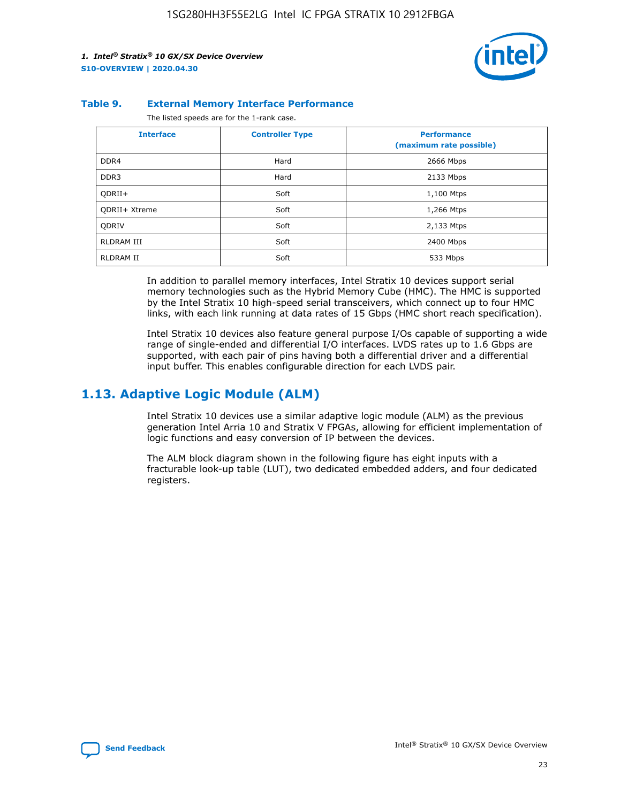

#### **Table 9. External Memory Interface Performance**

The listed speeds are for the 1-rank case.

| <b>Interface</b> | <b>Controller Type</b> | <b>Performance</b><br>(maximum rate possible) |
|------------------|------------------------|-----------------------------------------------|
| DDR4             | Hard                   | 2666 Mbps                                     |
| DDR <sub>3</sub> | Hard                   | 2133 Mbps                                     |
| QDRII+           | Soft                   | 1,100 Mtps                                    |
| QDRII+ Xtreme    | Soft                   | 1,266 Mtps                                    |
| <b>ODRIV</b>     | Soft                   | 2,133 Mtps                                    |
| RLDRAM III       | Soft                   | 2400 Mbps                                     |
| <b>RLDRAM II</b> | Soft                   | 533 Mbps                                      |

In addition to parallel memory interfaces, Intel Stratix 10 devices support serial memory technologies such as the Hybrid Memory Cube (HMC). The HMC is supported by the Intel Stratix 10 high-speed serial transceivers, which connect up to four HMC links, with each link running at data rates of 15 Gbps (HMC short reach specification).

Intel Stratix 10 devices also feature general purpose I/Os capable of supporting a wide range of single-ended and differential I/O interfaces. LVDS rates up to 1.6 Gbps are supported, with each pair of pins having both a differential driver and a differential input buffer. This enables configurable direction for each LVDS pair.

### **1.13. Adaptive Logic Module (ALM)**

Intel Stratix 10 devices use a similar adaptive logic module (ALM) as the previous generation Intel Arria 10 and Stratix V FPGAs, allowing for efficient implementation of logic functions and easy conversion of IP between the devices.

The ALM block diagram shown in the following figure has eight inputs with a fracturable look-up table (LUT), two dedicated embedded adders, and four dedicated registers.

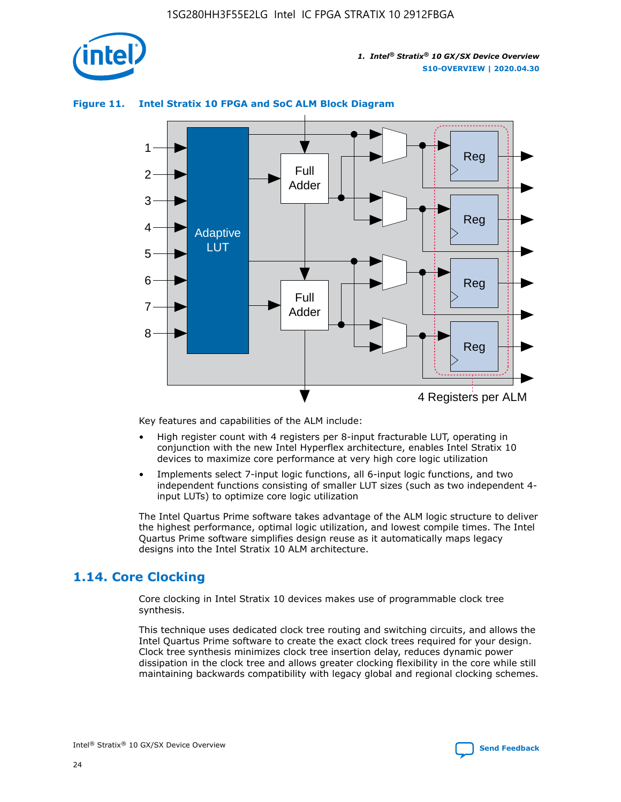

# Reg Reg 1 2 3 4 5 6 7 8 Reg Reg 4 Registers per ALM Full Adder Full Adder Adaptive **LUT**

#### **Figure 11. Intel Stratix 10 FPGA and SoC ALM Block Diagram**

Key features and capabilities of the ALM include:

- High register count with 4 registers per 8-input fracturable LUT, operating in conjunction with the new Intel Hyperflex architecture, enables Intel Stratix 10 devices to maximize core performance at very high core logic utilization
- Implements select 7-input logic functions, all 6-input logic functions, and two independent functions consisting of smaller LUT sizes (such as two independent 4 input LUTs) to optimize core logic utilization

The Intel Quartus Prime software takes advantage of the ALM logic structure to deliver the highest performance, optimal logic utilization, and lowest compile times. The Intel Quartus Prime software simplifies design reuse as it automatically maps legacy designs into the Intel Stratix 10 ALM architecture.

# **1.14. Core Clocking**

Core clocking in Intel Stratix 10 devices makes use of programmable clock tree synthesis.

This technique uses dedicated clock tree routing and switching circuits, and allows the Intel Quartus Prime software to create the exact clock trees required for your design. Clock tree synthesis minimizes clock tree insertion delay, reduces dynamic power dissipation in the clock tree and allows greater clocking flexibility in the core while still maintaining backwards compatibility with legacy global and regional clocking schemes.

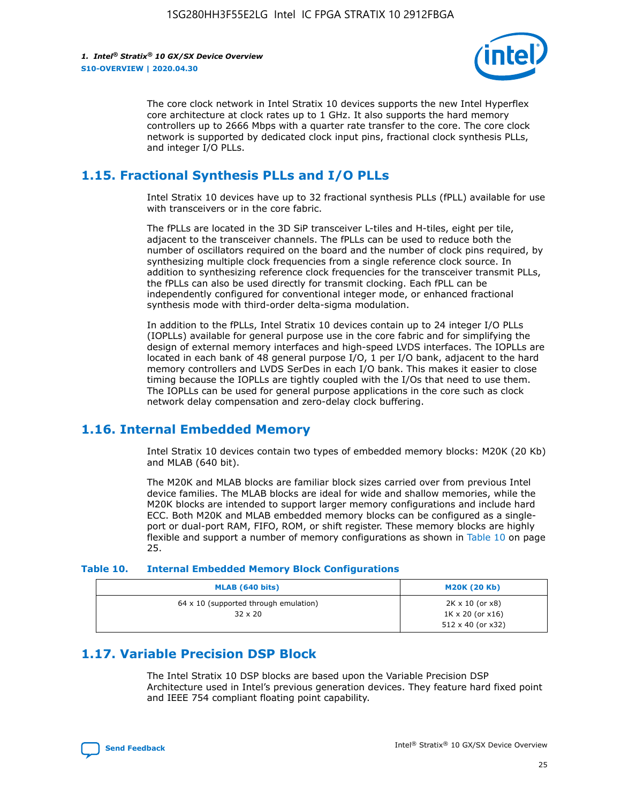

The core clock network in Intel Stratix 10 devices supports the new Intel Hyperflex core architecture at clock rates up to 1 GHz. It also supports the hard memory controllers up to 2666 Mbps with a quarter rate transfer to the core. The core clock network is supported by dedicated clock input pins, fractional clock synthesis PLLs, and integer I/O PLLs.

# **1.15. Fractional Synthesis PLLs and I/O PLLs**

Intel Stratix 10 devices have up to 32 fractional synthesis PLLs (fPLL) available for use with transceivers or in the core fabric.

The fPLLs are located in the 3D SiP transceiver L-tiles and H-tiles, eight per tile, adjacent to the transceiver channels. The fPLLs can be used to reduce both the number of oscillators required on the board and the number of clock pins required, by synthesizing multiple clock frequencies from a single reference clock source. In addition to synthesizing reference clock frequencies for the transceiver transmit PLLs, the fPLLs can also be used directly for transmit clocking. Each fPLL can be independently configured for conventional integer mode, or enhanced fractional synthesis mode with third-order delta-sigma modulation.

In addition to the fPLLs, Intel Stratix 10 devices contain up to 24 integer I/O PLLs (IOPLLs) available for general purpose use in the core fabric and for simplifying the design of external memory interfaces and high-speed LVDS interfaces. The IOPLLs are located in each bank of 48 general purpose I/O, 1 per I/O bank, adjacent to the hard memory controllers and LVDS SerDes in each I/O bank. This makes it easier to close timing because the IOPLLs are tightly coupled with the I/Os that need to use them. The IOPLLs can be used for general purpose applications in the core such as clock network delay compensation and zero-delay clock buffering.

# **1.16. Internal Embedded Memory**

Intel Stratix 10 devices contain two types of embedded memory blocks: M20K (20 Kb) and MLAB (640 bit).

The M20K and MLAB blocks are familiar block sizes carried over from previous Intel device families. The MLAB blocks are ideal for wide and shallow memories, while the M20K blocks are intended to support larger memory configurations and include hard ECC. Both M20K and MLAB embedded memory blocks can be configured as a singleport or dual-port RAM, FIFO, ROM, or shift register. These memory blocks are highly flexible and support a number of memory configurations as shown in Table 10 on page 25.

#### **Table 10. Internal Embedded Memory Block Configurations**

| MLAB (640 bits)                                                | <b>M20K (20 Kb)</b>                                                                    |
|----------------------------------------------------------------|----------------------------------------------------------------------------------------|
| $64 \times 10$ (supported through emulation)<br>$32 \times 20$ | $2K \times 10$ (or $x8$ )<br>$1K \times 20$ (or $x16$ )<br>$512 \times 40$ (or $x32$ ) |

# **1.17. Variable Precision DSP Block**

The Intel Stratix 10 DSP blocks are based upon the Variable Precision DSP Architecture used in Intel's previous generation devices. They feature hard fixed point and IEEE 754 compliant floating point capability.

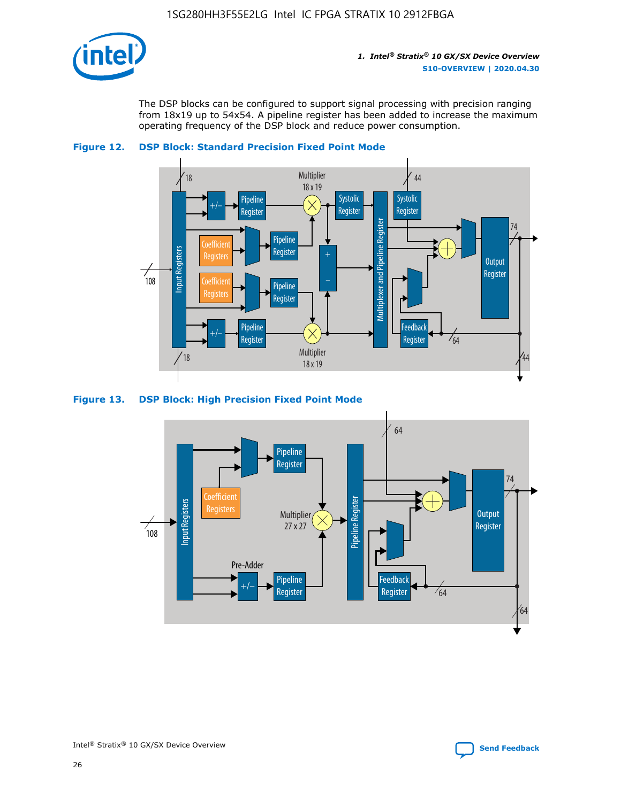

The DSP blocks can be configured to support signal processing with precision ranging from 18x19 up to 54x54. A pipeline register has been added to increase the maximum operating frequency of the DSP block and reduce power consumption.





#### **Figure 13. DSP Block: High Precision Fixed Point Mode**

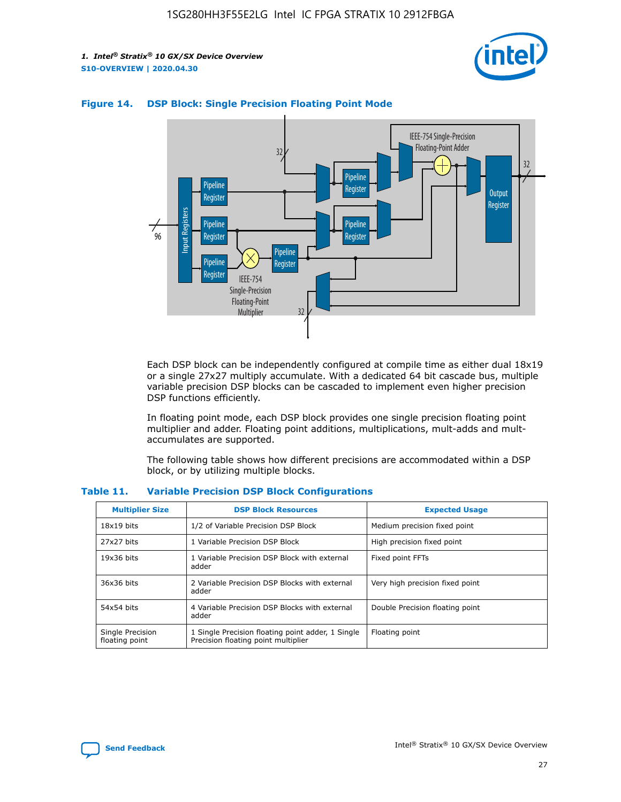



#### **Figure 14. DSP Block: Single Precision Floating Point Mode**

Each DSP block can be independently configured at compile time as either dual 18x19 or a single 27x27 multiply accumulate. With a dedicated 64 bit cascade bus, multiple variable precision DSP blocks can be cascaded to implement even higher precision DSP functions efficiently.

In floating point mode, each DSP block provides one single precision floating point multiplier and adder. Floating point additions, multiplications, mult-adds and multaccumulates are supported.

The following table shows how different precisions are accommodated within a DSP block, or by utilizing multiple blocks.

| <b>Multiplier Size</b>             | <b>DSP Block Resources</b>                                                               | <b>Expected Usage</b>           |
|------------------------------------|------------------------------------------------------------------------------------------|---------------------------------|
| $18x19$ bits                       | 1/2 of Variable Precision DSP Block                                                      | Medium precision fixed point    |
| 27x27 bits                         | 1 Variable Precision DSP Block                                                           | High precision fixed point      |
| $19x36$ bits                       | 1 Variable Precision DSP Block with external<br>adder                                    | Fixed point FFTs                |
| 36x36 bits                         | 2 Variable Precision DSP Blocks with external<br>adder                                   | Very high precision fixed point |
| 54x54 bits                         | 4 Variable Precision DSP Blocks with external<br>adder                                   | Double Precision floating point |
| Single Precision<br>floating point | 1 Single Precision floating point adder, 1 Single<br>Precision floating point multiplier | Floating point                  |

#### **Table 11. Variable Precision DSP Block Configurations**

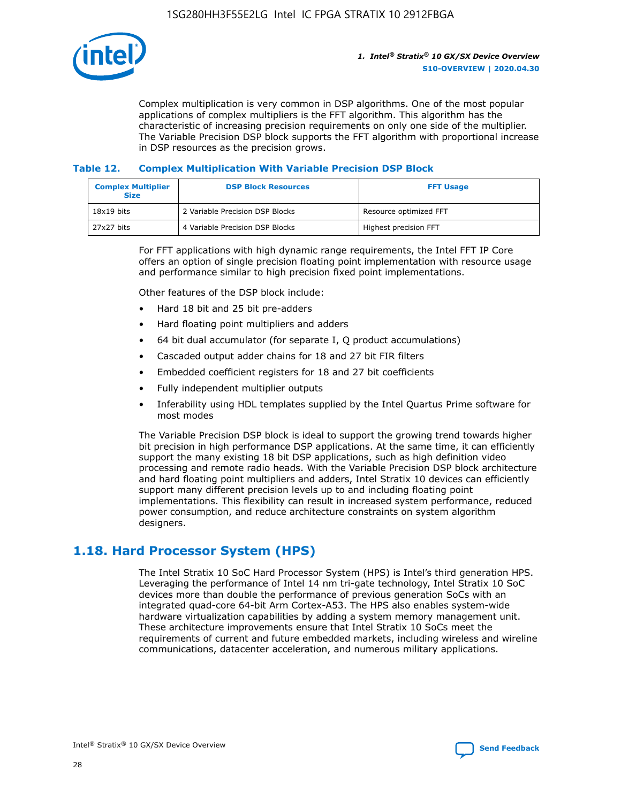

Complex multiplication is very common in DSP algorithms. One of the most popular applications of complex multipliers is the FFT algorithm. This algorithm has the characteristic of increasing precision requirements on only one side of the multiplier. The Variable Precision DSP block supports the FFT algorithm with proportional increase in DSP resources as the precision grows.

#### **Table 12. Complex Multiplication With Variable Precision DSP Block**

| <b>Complex Multiplier</b><br><b>Size</b> | <b>DSP Block Resources</b>      | <b>FFT Usage</b>       |
|------------------------------------------|---------------------------------|------------------------|
| $18x19$ bits                             | 2 Variable Precision DSP Blocks | Resource optimized FFT |
| 27x27 bits                               | 4 Variable Precision DSP Blocks | Highest precision FFT  |

For FFT applications with high dynamic range requirements, the Intel FFT IP Core offers an option of single precision floating point implementation with resource usage and performance similar to high precision fixed point implementations.

Other features of the DSP block include:

- Hard 18 bit and 25 bit pre-adders
- Hard floating point multipliers and adders
- 64 bit dual accumulator (for separate I, Q product accumulations)
- Cascaded output adder chains for 18 and 27 bit FIR filters
- Embedded coefficient registers for 18 and 27 bit coefficients
- Fully independent multiplier outputs
- Inferability using HDL templates supplied by the Intel Quartus Prime software for most modes

The Variable Precision DSP block is ideal to support the growing trend towards higher bit precision in high performance DSP applications. At the same time, it can efficiently support the many existing 18 bit DSP applications, such as high definition video processing and remote radio heads. With the Variable Precision DSP block architecture and hard floating point multipliers and adders, Intel Stratix 10 devices can efficiently support many different precision levels up to and including floating point implementations. This flexibility can result in increased system performance, reduced power consumption, and reduce architecture constraints on system algorithm designers.

# **1.18. Hard Processor System (HPS)**

The Intel Stratix 10 SoC Hard Processor System (HPS) is Intel's third generation HPS. Leveraging the performance of Intel 14 nm tri-gate technology, Intel Stratix 10 SoC devices more than double the performance of previous generation SoCs with an integrated quad-core 64-bit Arm Cortex-A53. The HPS also enables system-wide hardware virtualization capabilities by adding a system memory management unit. These architecture improvements ensure that Intel Stratix 10 SoCs meet the requirements of current and future embedded markets, including wireless and wireline communications, datacenter acceleration, and numerous military applications.

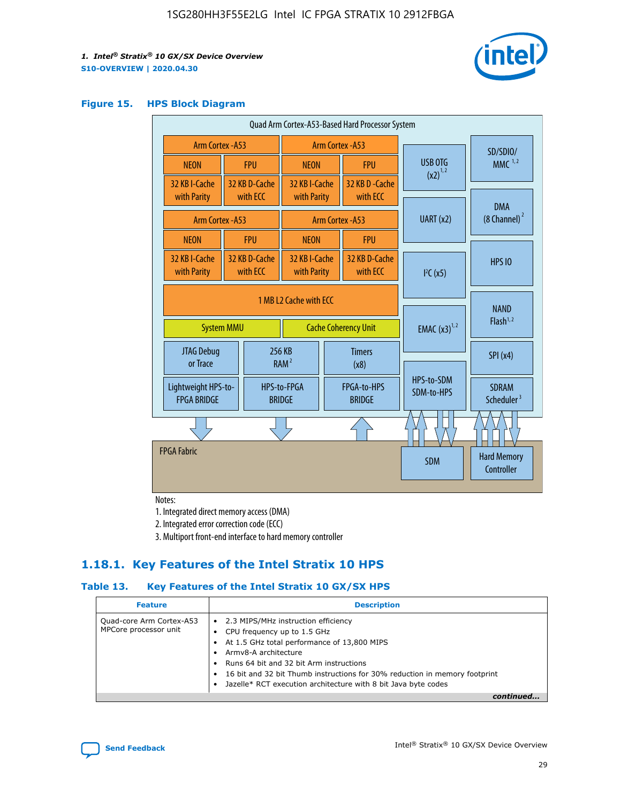

#### **Figure 15. HPS Block Diagram**

| Quad Arm Cortex-A53-Based Hard Processor System |                                                                            |                           |                                                     |                          |                                     |                          |                                        |          |
|-------------------------------------------------|----------------------------------------------------------------------------|---------------------------|-----------------------------------------------------|--------------------------|-------------------------------------|--------------------------|----------------------------------------|----------|
| Arm Cortex - A53                                |                                                                            |                           | Arm Cortex - A53                                    |                          |                                     |                          |                                        | SD/SDIO/ |
| <b>NEON</b>                                     |                                                                            | <b>FPU</b>                | <b>NEON</b>                                         |                          | <b>FPU</b>                          | USB OTG                  | MMC $1,2$                              |          |
| 32 KB I-Cache<br>with Parity                    |                                                                            | 32 KB D-Cache<br>with ECC | 32 KB I-Cache<br>with Parity                        |                          | 32 KB D - Cache<br>with ECC         | $(x2)^{1,2}$             |                                        |          |
|                                                 | Arm Cortex - A53                                                           |                           |                                                     |                          | Arm Cortex - A53                    | UART(x2)                 | <b>DMA</b><br>$(8 \text{ Channel})^2$  |          |
| <b>NEON</b>                                     |                                                                            | <b>FPU</b>                | <b>NEON</b>                                         |                          | <b>FPU</b>                          |                          |                                        |          |
| 32 KB I-Cache<br>with Parity                    |                                                                            | 32 KB D-Cache<br>with ECC | 32 KB I-Cache<br>with Parity                        |                          | 32 KB D-Cache<br>with ECC           | I <sup>2</sup> C(x5)     | <b>HPS 10</b>                          |          |
|                                                 | 1 MB L2 Cache with ECC<br><b>System MMU</b><br><b>Cache Coherency Unit</b> |                           |                                                     | <b>EMAC</b> $(x3)^{1,2}$ | <b>NAND</b><br>Flash <sup>1,2</sup> |                          |                                        |          |
| JTAG Debug<br>or Trace                          |                                                                            |                           | 256 KB<br><b>Timers</b><br>RAM <sup>2</sup><br>(x8) |                          |                                     | SPI(x4)                  |                                        |          |
| Lightweight HPS-to-<br><b>FPGA BRIDGE</b>       |                                                                            |                           | HPS-to-FPGA<br><b>BRIDGE</b>                        |                          | FPGA-to-HPS<br><b>BRIDGE</b>        | HPS-to-SDM<br>SDM-to-HPS | <b>SDRAM</b><br>Scheduler <sup>3</sup> |          |
|                                                 |                                                                            |                           |                                                     |                          |                                     |                          |                                        |          |
| <b>FPGA Fabric</b>                              |                                                                            |                           |                                                     |                          |                                     | <b>SDM</b>               | <b>Hard Memory</b><br>Controller       |          |

Notes:

1. Integrated direct memory access (DMA)

2. Integrated error correction code (ECC)

3. Multiport front-end interface to hard memory controller

### **1.18.1. Key Features of the Intel Stratix 10 HPS**

#### **Table 13. Key Features of the Intel Stratix 10 GX/SX HPS**

| <b>Feature</b>                                    | <b>Description</b>                                                                                                                                                                                                                                                                                                                     |
|---------------------------------------------------|----------------------------------------------------------------------------------------------------------------------------------------------------------------------------------------------------------------------------------------------------------------------------------------------------------------------------------------|
| Quad-core Arm Cortex-A53<br>MPCore processor unit | • 2.3 MIPS/MHz instruction efficiency<br>CPU frequency up to 1.5 GHz<br>At 1.5 GHz total performance of 13,800 MIPS<br>Army8-A architecture<br>Runs 64 bit and 32 bit Arm instructions<br>16 bit and 32 bit Thumb instructions for 30% reduction in memory footprint<br>Jazelle* RCT execution architecture with 8 bit Java byte codes |
|                                                   |                                                                                                                                                                                                                                                                                                                                        |

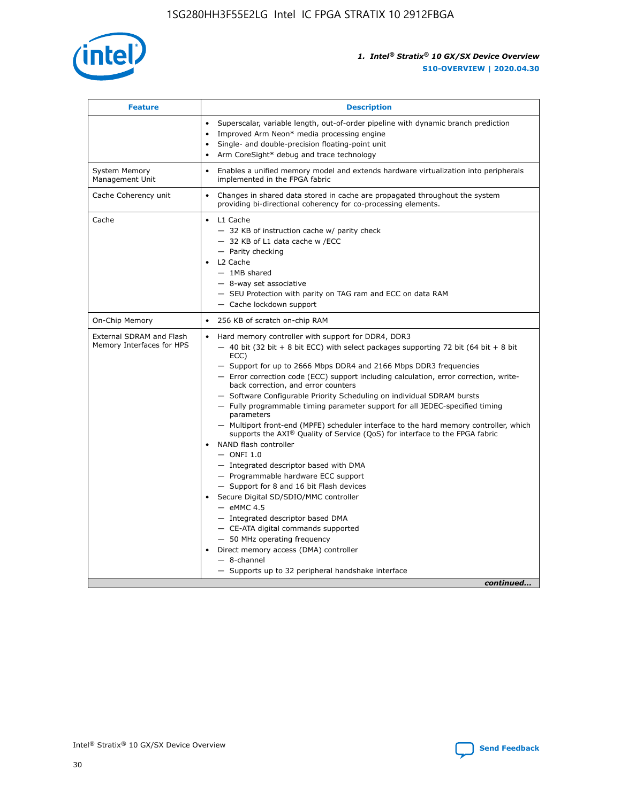

| <b>Feature</b>                                        | <b>Description</b>                                                                                                                                                                                                                                                                                                                                                                                                                                                                                                                                                                                                                                                                                                                                                                                                                                                                                                                                                                                                                                                                                                                                                                                                     |
|-------------------------------------------------------|------------------------------------------------------------------------------------------------------------------------------------------------------------------------------------------------------------------------------------------------------------------------------------------------------------------------------------------------------------------------------------------------------------------------------------------------------------------------------------------------------------------------------------------------------------------------------------------------------------------------------------------------------------------------------------------------------------------------------------------------------------------------------------------------------------------------------------------------------------------------------------------------------------------------------------------------------------------------------------------------------------------------------------------------------------------------------------------------------------------------------------------------------------------------------------------------------------------------|
|                                                       | Superscalar, variable length, out-of-order pipeline with dynamic branch prediction<br>Improved Arm Neon* media processing engine<br>$\bullet$<br>Single- and double-precision floating-point unit<br>Arm CoreSight* debug and trace technology<br>$\bullet$                                                                                                                                                                                                                                                                                                                                                                                                                                                                                                                                                                                                                                                                                                                                                                                                                                                                                                                                                            |
| <b>System Memory</b><br>Management Unit               | Enables a unified memory model and extends hardware virtualization into peripherals<br>$\bullet$<br>implemented in the FPGA fabric                                                                                                                                                                                                                                                                                                                                                                                                                                                                                                                                                                                                                                                                                                                                                                                                                                                                                                                                                                                                                                                                                     |
| Cache Coherency unit                                  | $\bullet$<br>Changes in shared data stored in cache are propagated throughout the system<br>providing bi-directional coherency for co-processing elements.                                                                                                                                                                                                                                                                                                                                                                                                                                                                                                                                                                                                                                                                                                                                                                                                                                                                                                                                                                                                                                                             |
| Cache                                                 | L1 Cache<br>$\bullet$<br>- 32 KB of instruction cache w/ parity check<br>- 32 KB of L1 data cache w /ECC<br>- Parity checking<br>L2 Cache<br>$-$ 1MB shared<br>- 8-way set associative<br>- SEU Protection with parity on TAG ram and ECC on data RAM<br>- Cache lockdown support                                                                                                                                                                                                                                                                                                                                                                                                                                                                                                                                                                                                                                                                                                                                                                                                                                                                                                                                      |
| On-Chip Memory                                        | 256 KB of scratch on-chip RAM<br>$\bullet$                                                                                                                                                                                                                                                                                                                                                                                                                                                                                                                                                                                                                                                                                                                                                                                                                                                                                                                                                                                                                                                                                                                                                                             |
| External SDRAM and Flash<br>Memory Interfaces for HPS | Hard memory controller with support for DDR4, DDR3<br>$\bullet$<br>$-$ 40 bit (32 bit + 8 bit ECC) with select packages supporting 72 bit (64 bit + 8 bit<br>ECC)<br>- Support for up to 2666 Mbps DDR4 and 2166 Mbps DDR3 frequencies<br>- Error correction code (ECC) support including calculation, error correction, write-<br>back correction, and error counters<br>- Software Configurable Priority Scheduling on individual SDRAM bursts<br>- Fully programmable timing parameter support for all JEDEC-specified timing<br>parameters<br>- Multiport front-end (MPFE) scheduler interface to the hard memory controller, which<br>supports the $AXI^{\circledR}$ Quality of Service (QoS) for interface to the FPGA fabric<br>NAND flash controller<br>$-$ ONFI 1.0<br>- Integrated descriptor based with DMA<br>- Programmable hardware ECC support<br>- Support for 8 and 16 bit Flash devices<br>Secure Digital SD/SDIO/MMC controller<br>$-$ eMMC 4.5<br>- Integrated descriptor based DMA<br>- CE-ATA digital commands supported<br>- 50 MHz operating frequency<br>Direct memory access (DMA) controller<br>$\bullet$<br>- 8-channel<br>- Supports up to 32 peripheral handshake interface<br>continued |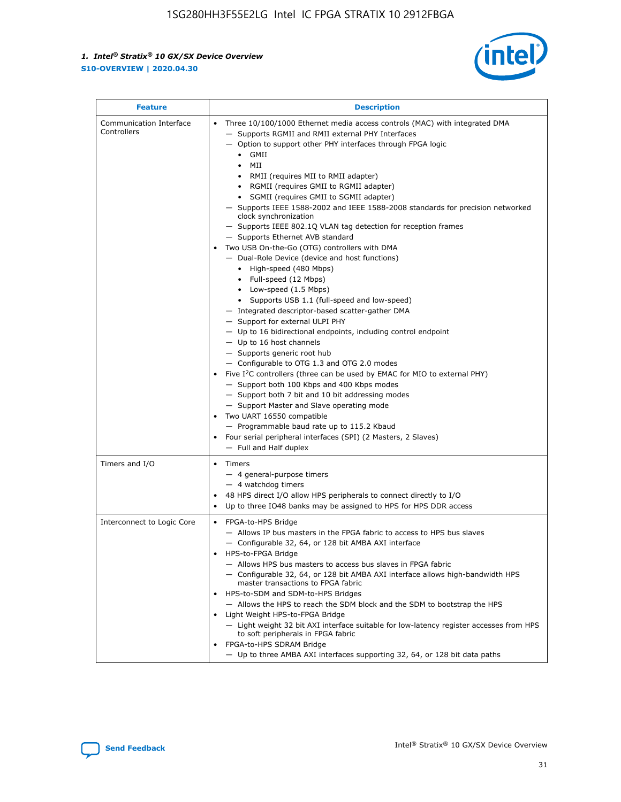

| <b>Feature</b>                         | <b>Description</b>                                                                                                                                                                                                                                                                                                                                                                                                                                                                                                                                                                                                                                                                                                                                                                                                                                                                                                                                                                                                                                                                                                                                                                                                                                                                                                                                                                                                                                                                                          |  |  |  |
|----------------------------------------|-------------------------------------------------------------------------------------------------------------------------------------------------------------------------------------------------------------------------------------------------------------------------------------------------------------------------------------------------------------------------------------------------------------------------------------------------------------------------------------------------------------------------------------------------------------------------------------------------------------------------------------------------------------------------------------------------------------------------------------------------------------------------------------------------------------------------------------------------------------------------------------------------------------------------------------------------------------------------------------------------------------------------------------------------------------------------------------------------------------------------------------------------------------------------------------------------------------------------------------------------------------------------------------------------------------------------------------------------------------------------------------------------------------------------------------------------------------------------------------------------------------|--|--|--|
| Communication Interface<br>Controllers | Three 10/100/1000 Ethernet media access controls (MAC) with integrated DMA<br>- Supports RGMII and RMII external PHY Interfaces<br>- Option to support other PHY interfaces through FPGA logic<br>$\bullet$ GMII<br>MII<br>$\bullet$<br>RMII (requires MII to RMII adapter)<br>• RGMII (requires GMII to RGMII adapter)<br>• SGMII (requires GMII to SGMII adapter)<br>- Supports IEEE 1588-2002 and IEEE 1588-2008 standards for precision networked<br>clock synchronization<br>- Supports IEEE 802.1Q VLAN tag detection for reception frames<br>- Supports Ethernet AVB standard<br>Two USB On-the-Go (OTG) controllers with DMA<br>- Dual-Role Device (device and host functions)<br>• High-speed (480 Mbps)<br>• Full-speed (12 Mbps)<br>• Low-speed (1.5 Mbps)<br>• Supports USB 1.1 (full-speed and low-speed)<br>- Integrated descriptor-based scatter-gather DMA<br>- Support for external ULPI PHY<br>- Up to 16 bidirectional endpoints, including control endpoint<br>$-$ Up to 16 host channels<br>- Supports generic root hub<br>- Configurable to OTG 1.3 and OTG 2.0 modes<br>Five I <sup>2</sup> C controllers (three can be used by EMAC for MIO to external PHY)<br>- Support both 100 Kbps and 400 Kbps modes<br>- Support both 7 bit and 10 bit addressing modes<br>- Support Master and Slave operating mode<br>Two UART 16550 compatible<br>- Programmable baud rate up to 115.2 Kbaud<br>• Four serial peripheral interfaces (SPI) (2 Masters, 2 Slaves)<br>- Full and Half duplex |  |  |  |
| Timers and I/O                         | • Timers<br>- 4 general-purpose timers<br>$-4$ watchdog timers<br>48 HPS direct I/O allow HPS peripherals to connect directly to I/O<br>Up to three IO48 banks may be assigned to HPS for HPS DDR access                                                                                                                                                                                                                                                                                                                                                                                                                                                                                                                                                                                                                                                                                                                                                                                                                                                                                                                                                                                                                                                                                                                                                                                                                                                                                                    |  |  |  |
| Interconnect to Logic Core             | • FPGA-to-HPS Bridge<br>- Allows IP bus masters in the FPGA fabric to access to HPS bus slaves<br>- Configurable 32, 64, or 128 bit AMBA AXI interface<br>HPS-to-FPGA Bridge<br>- Allows HPS bus masters to access bus slaves in FPGA fabric<br>- Configurable 32, 64, or 128 bit AMBA AXI interface allows high-bandwidth HPS<br>master transactions to FPGA fabric<br>HPS-to-SDM and SDM-to-HPS Bridges<br>- Allows the HPS to reach the SDM block and the SDM to bootstrap the HPS<br>Light Weight HPS-to-FPGA Bridge<br>- Light weight 32 bit AXI interface suitable for low-latency register accesses from HPS<br>to soft peripherals in FPGA fabric<br>FPGA-to-HPS SDRAM Bridge<br>- Up to three AMBA AXI interfaces supporting 32, 64, or 128 bit data paths                                                                                                                                                                                                                                                                                                                                                                                                                                                                                                                                                                                                                                                                                                                                         |  |  |  |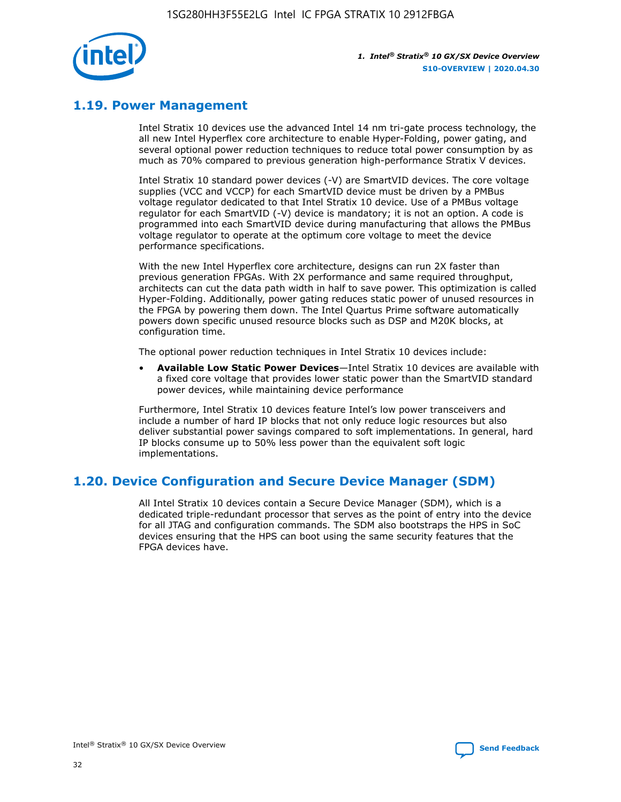

# **1.19. Power Management**

Intel Stratix 10 devices use the advanced Intel 14 nm tri-gate process technology, the all new Intel Hyperflex core architecture to enable Hyper-Folding, power gating, and several optional power reduction techniques to reduce total power consumption by as much as 70% compared to previous generation high-performance Stratix V devices.

Intel Stratix 10 standard power devices (-V) are SmartVID devices. The core voltage supplies (VCC and VCCP) for each SmartVID device must be driven by a PMBus voltage regulator dedicated to that Intel Stratix 10 device. Use of a PMBus voltage regulator for each SmartVID (-V) device is mandatory; it is not an option. A code is programmed into each SmartVID device during manufacturing that allows the PMBus voltage regulator to operate at the optimum core voltage to meet the device performance specifications.

With the new Intel Hyperflex core architecture, designs can run 2X faster than previous generation FPGAs. With 2X performance and same required throughput, architects can cut the data path width in half to save power. This optimization is called Hyper-Folding. Additionally, power gating reduces static power of unused resources in the FPGA by powering them down. The Intel Quartus Prime software automatically powers down specific unused resource blocks such as DSP and M20K blocks, at configuration time.

The optional power reduction techniques in Intel Stratix 10 devices include:

• **Available Low Static Power Devices**—Intel Stratix 10 devices are available with a fixed core voltage that provides lower static power than the SmartVID standard power devices, while maintaining device performance

Furthermore, Intel Stratix 10 devices feature Intel's low power transceivers and include a number of hard IP blocks that not only reduce logic resources but also deliver substantial power savings compared to soft implementations. In general, hard IP blocks consume up to 50% less power than the equivalent soft logic implementations.

# **1.20. Device Configuration and Secure Device Manager (SDM)**

All Intel Stratix 10 devices contain a Secure Device Manager (SDM), which is a dedicated triple-redundant processor that serves as the point of entry into the device for all JTAG and configuration commands. The SDM also bootstraps the HPS in SoC devices ensuring that the HPS can boot using the same security features that the FPGA devices have.

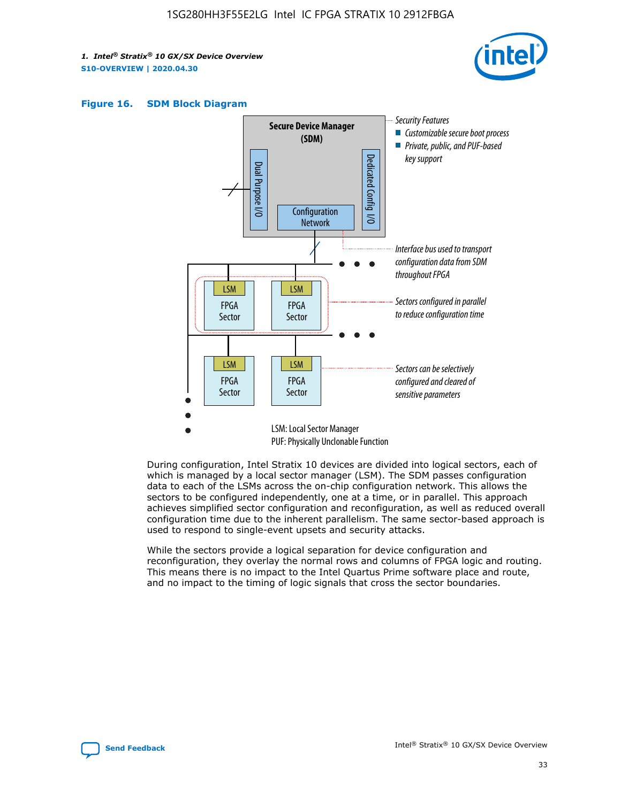





During configuration, Intel Stratix 10 devices are divided into logical sectors, each of which is managed by a local sector manager (LSM). The SDM passes configuration data to each of the LSMs across the on-chip configuration network. This allows the sectors to be configured independently, one at a time, or in parallel. This approach achieves simplified sector configuration and reconfiguration, as well as reduced overall configuration time due to the inherent parallelism. The same sector-based approach is used to respond to single-event upsets and security attacks.

While the sectors provide a logical separation for device configuration and reconfiguration, they overlay the normal rows and columns of FPGA logic and routing. This means there is no impact to the Intel Quartus Prime software place and route, and no impact to the timing of logic signals that cross the sector boundaries.

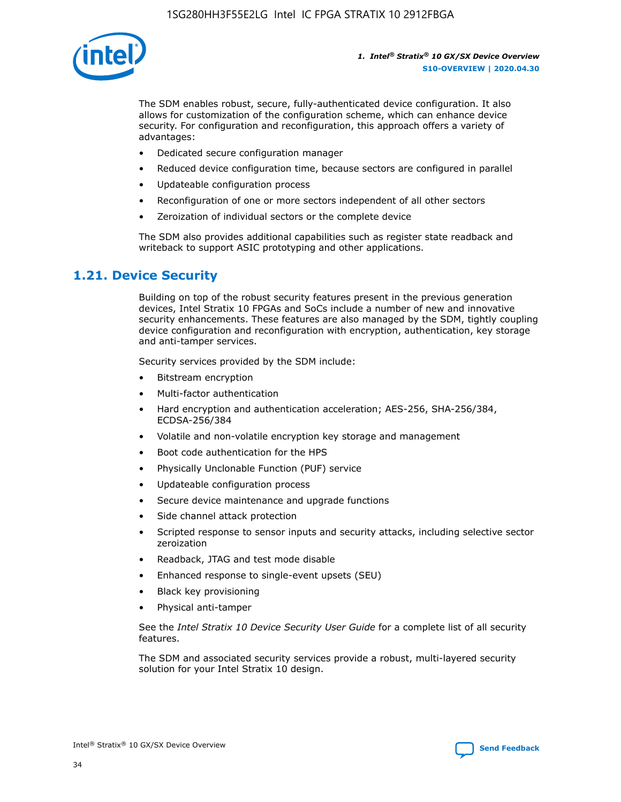

The SDM enables robust, secure, fully-authenticated device configuration. It also allows for customization of the configuration scheme, which can enhance device security. For configuration and reconfiguration, this approach offers a variety of advantages:

- Dedicated secure configuration manager
- Reduced device configuration time, because sectors are configured in parallel
- Updateable configuration process
- Reconfiguration of one or more sectors independent of all other sectors
- Zeroization of individual sectors or the complete device

The SDM also provides additional capabilities such as register state readback and writeback to support ASIC prototyping and other applications.

# **1.21. Device Security**

Building on top of the robust security features present in the previous generation devices, Intel Stratix 10 FPGAs and SoCs include a number of new and innovative security enhancements. These features are also managed by the SDM, tightly coupling device configuration and reconfiguration with encryption, authentication, key storage and anti-tamper services.

Security services provided by the SDM include:

- Bitstream encryption
- Multi-factor authentication
- Hard encryption and authentication acceleration; AES-256, SHA-256/384, ECDSA-256/384
- Volatile and non-volatile encryption key storage and management
- Boot code authentication for the HPS
- Physically Unclonable Function (PUF) service
- Updateable configuration process
- Secure device maintenance and upgrade functions
- Side channel attack protection
- Scripted response to sensor inputs and security attacks, including selective sector zeroization
- Readback, JTAG and test mode disable
- Enhanced response to single-event upsets (SEU)
- Black key provisioning
- Physical anti-tamper

See the *Intel Stratix 10 Device Security User Guide* for a complete list of all security features.

The SDM and associated security services provide a robust, multi-layered security solution for your Intel Stratix 10 design.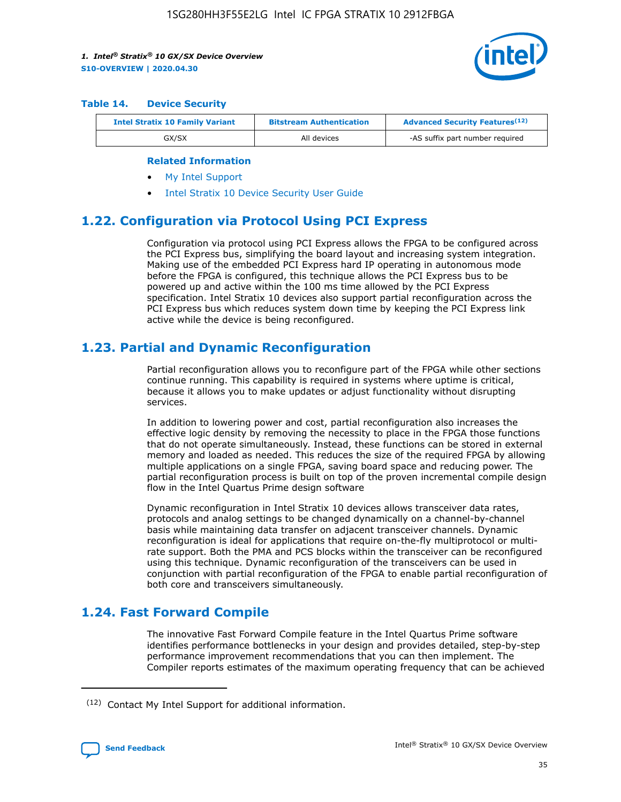

#### **Table 14. Device Security**

| <b>Intel Stratix 10 Family Variant</b> | <b>Bitstream Authentication</b> | <b>Advanced Security Features</b> <sup>(12)</sup> |
|----------------------------------------|---------------------------------|---------------------------------------------------|
| GX/SX                                  | All devices                     | -AS suffix part number required                   |

#### **Related Information**

- [My Intel Support](https://www.intel.com/content/www/us/en/programmable/my-intel/mal-home.html)
- [Intel Stratix 10 Device Security User Guide](https://www.intel.com/content/www/us/en/programmable/documentation/ndq1483601370898.html#wcd1483611014402)

# **1.22. Configuration via Protocol Using PCI Express**

Configuration via protocol using PCI Express allows the FPGA to be configured across the PCI Express bus, simplifying the board layout and increasing system integration. Making use of the embedded PCI Express hard IP operating in autonomous mode before the FPGA is configured, this technique allows the PCI Express bus to be powered up and active within the 100 ms time allowed by the PCI Express specification. Intel Stratix 10 devices also support partial reconfiguration across the PCI Express bus which reduces system down time by keeping the PCI Express link active while the device is being reconfigured.

### **1.23. Partial and Dynamic Reconfiguration**

Partial reconfiguration allows you to reconfigure part of the FPGA while other sections continue running. This capability is required in systems where uptime is critical, because it allows you to make updates or adjust functionality without disrupting services.

In addition to lowering power and cost, partial reconfiguration also increases the effective logic density by removing the necessity to place in the FPGA those functions that do not operate simultaneously. Instead, these functions can be stored in external memory and loaded as needed. This reduces the size of the required FPGA by allowing multiple applications on a single FPGA, saving board space and reducing power. The partial reconfiguration process is built on top of the proven incremental compile design flow in the Intel Quartus Prime design software

Dynamic reconfiguration in Intel Stratix 10 devices allows transceiver data rates, protocols and analog settings to be changed dynamically on a channel-by-channel basis while maintaining data transfer on adjacent transceiver channels. Dynamic reconfiguration is ideal for applications that require on-the-fly multiprotocol or multirate support. Both the PMA and PCS blocks within the transceiver can be reconfigured using this technique. Dynamic reconfiguration of the transceivers can be used in conjunction with partial reconfiguration of the FPGA to enable partial reconfiguration of both core and transceivers simultaneously.

# **1.24. Fast Forward Compile**

The innovative Fast Forward Compile feature in the Intel Quartus Prime software identifies performance bottlenecks in your design and provides detailed, step-by-step performance improvement recommendations that you can then implement. The Compiler reports estimates of the maximum operating frequency that can be achieved

<sup>(12)</sup> Contact My Intel Support for additional information.

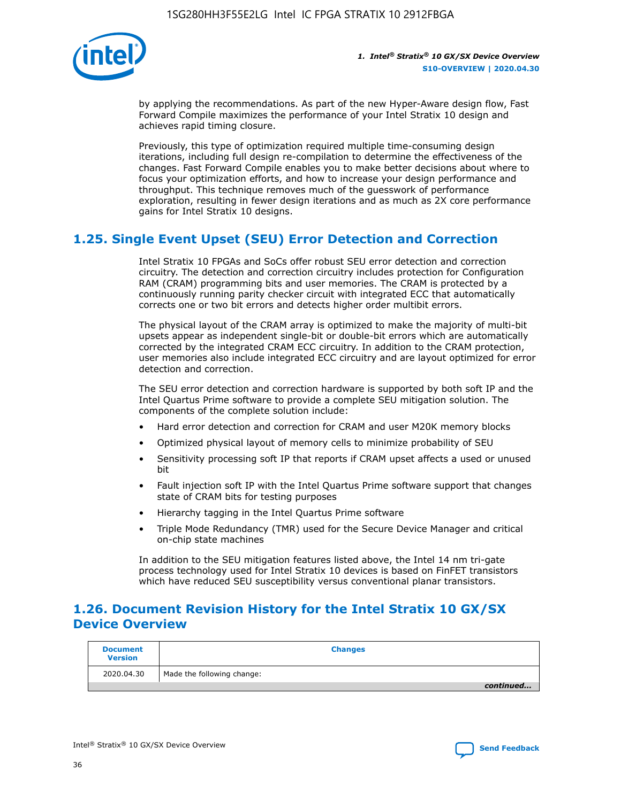

by applying the recommendations. As part of the new Hyper-Aware design flow, Fast Forward Compile maximizes the performance of your Intel Stratix 10 design and achieves rapid timing closure.

Previously, this type of optimization required multiple time-consuming design iterations, including full design re-compilation to determine the effectiveness of the changes. Fast Forward Compile enables you to make better decisions about where to focus your optimization efforts, and how to increase your design performance and throughput. This technique removes much of the guesswork of performance exploration, resulting in fewer design iterations and as much as 2X core performance gains for Intel Stratix 10 designs.

# **1.25. Single Event Upset (SEU) Error Detection and Correction**

Intel Stratix 10 FPGAs and SoCs offer robust SEU error detection and correction circuitry. The detection and correction circuitry includes protection for Configuration RAM (CRAM) programming bits and user memories. The CRAM is protected by a continuously running parity checker circuit with integrated ECC that automatically corrects one or two bit errors and detects higher order multibit errors.

The physical layout of the CRAM array is optimized to make the majority of multi-bit upsets appear as independent single-bit or double-bit errors which are automatically corrected by the integrated CRAM ECC circuitry. In addition to the CRAM protection, user memories also include integrated ECC circuitry and are layout optimized for error detection and correction.

The SEU error detection and correction hardware is supported by both soft IP and the Intel Quartus Prime software to provide a complete SEU mitigation solution. The components of the complete solution include:

- Hard error detection and correction for CRAM and user M20K memory blocks
- Optimized physical layout of memory cells to minimize probability of SEU
- Sensitivity processing soft IP that reports if CRAM upset affects a used or unused bit
- Fault injection soft IP with the Intel Quartus Prime software support that changes state of CRAM bits for testing purposes
- Hierarchy tagging in the Intel Quartus Prime software
- Triple Mode Redundancy (TMR) used for the Secure Device Manager and critical on-chip state machines

In addition to the SEU mitigation features listed above, the Intel 14 nm tri-gate process technology used for Intel Stratix 10 devices is based on FinFET transistors which have reduced SEU susceptibility versus conventional planar transistors.

# **1.26. Document Revision History for the Intel Stratix 10 GX/SX Device Overview**

| <b>Document</b><br><b>Version</b> | <b>Changes</b>             |
|-----------------------------------|----------------------------|
| 2020.04.30                        | Made the following change: |
|                                   | continued                  |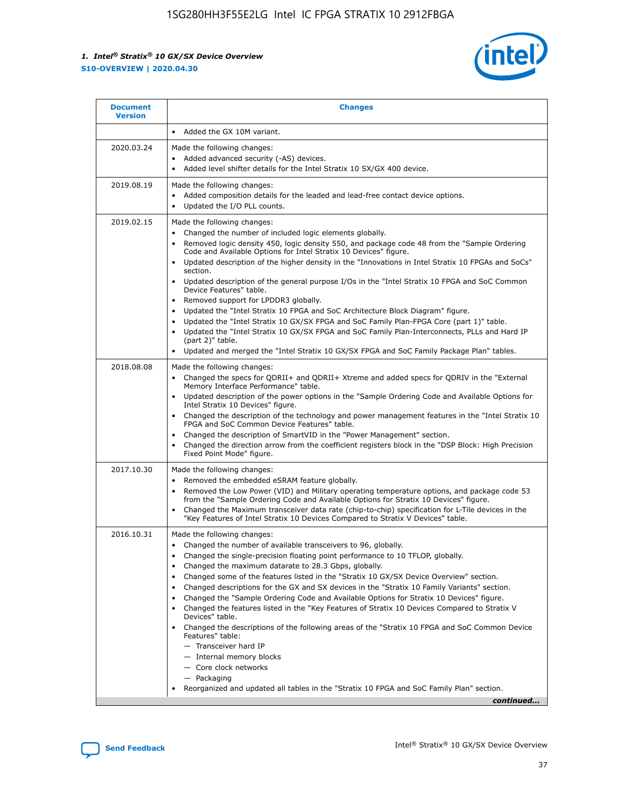

| Added the GX 10M variant.<br>$\bullet$<br>2020.03.24<br>Made the following changes:<br>Added advanced security (-AS) devices.<br>$\bullet$<br>Added level shifter details for the Intel Stratix 10 SX/GX 400 device.<br>$\bullet$<br>2019.08.19<br>Made the following changes:<br>Added composition details for the leaded and lead-free contact device options.<br>$\bullet$<br>Updated the I/O PLL counts.<br>$\bullet$<br>2019.02.15<br>Made the following changes:<br>Changed the number of included logic elements globally.<br>$\bullet$<br>Removed logic density 450, logic density 550, and package code 48 from the "Sample Ordering<br>$\bullet$<br>Code and Available Options for Intel Stratix 10 Devices" figure.<br>Updated description of the higher density in the "Innovations in Intel Stratix 10 FPGAs and SoCs"<br>section.<br>Updated description of the general purpose I/Os in the "Intel Stratix 10 FPGA and SoC Common<br>$\bullet$<br>Device Features" table.<br>Removed support for LPDDR3 globally.<br>٠<br>Updated the "Intel Stratix 10 FPGA and SoC Architecture Block Diagram" figure.<br>٠<br>Updated the "Intel Stratix 10 GX/SX FPGA and SoC Family Plan-FPGA Core (part 1)" table.<br>$\bullet$<br>Updated the "Intel Stratix 10 GX/SX FPGA and SoC Family Plan-Interconnects, PLLs and Hard IP<br>$\bullet$<br>(part 2)" table.<br>Updated and merged the "Intel Stratix 10 GX/SX FPGA and SoC Family Package Plan" tables.<br>2018.08.08<br>Made the following changes:<br>Changed the specs for ODRII+ and ODRII+ Xtreme and added specs for ODRIV in the "External<br>$\bullet$<br>Memory Interface Performance" table.<br>Updated description of the power options in the "Sample Ordering Code and Available Options for<br>Intel Stratix 10 Devices" figure.<br>Changed the description of the technology and power management features in the "Intel Stratix 10<br>FPGA and SoC Common Device Features" table.<br>Changed the description of SmartVID in the "Power Management" section.<br>٠<br>Changed the direction arrow from the coefficient registers block in the "DSP Block: High Precision<br>Fixed Point Mode" figure.<br>2017.10.30<br>Made the following changes:<br>Removed the embedded eSRAM feature globally.<br>$\bullet$<br>Removed the Low Power (VID) and Military operating temperature options, and package code 53<br>٠<br>from the "Sample Ordering Code and Available Options for Stratix 10 Devices" figure.<br>Changed the Maximum transceiver data rate (chip-to-chip) specification for L-Tile devices in the<br>٠<br>"Key Features of Intel Stratix 10 Devices Compared to Stratix V Devices" table.<br>2016.10.31<br>Made the following changes:<br>• Changed the number of available transceivers to 96, globally.<br>Changed the single-precision floating point performance to 10 TFLOP, globally.<br>Changed the maximum datarate to 28.3 Gbps, globally.<br>٠<br>Changed some of the features listed in the "Stratix 10 GX/SX Device Overview" section.<br>٠<br>Changed descriptions for the GX and SX devices in the "Stratix 10 Family Variants" section.<br>٠<br>Changed the "Sample Ordering Code and Available Options for Stratix 10 Devices" figure.<br>٠<br>Changed the features listed in the "Key Features of Stratix 10 Devices Compared to Stratix V<br>٠ | <b>Document</b><br><b>Version</b> | <b>Changes</b>  |
|-------------------------------------------------------------------------------------------------------------------------------------------------------------------------------------------------------------------------------------------------------------------------------------------------------------------------------------------------------------------------------------------------------------------------------------------------------------------------------------------------------------------------------------------------------------------------------------------------------------------------------------------------------------------------------------------------------------------------------------------------------------------------------------------------------------------------------------------------------------------------------------------------------------------------------------------------------------------------------------------------------------------------------------------------------------------------------------------------------------------------------------------------------------------------------------------------------------------------------------------------------------------------------------------------------------------------------------------------------------------------------------------------------------------------------------------------------------------------------------------------------------------------------------------------------------------------------------------------------------------------------------------------------------------------------------------------------------------------------------------------------------------------------------------------------------------------------------------------------------------------------------------------------------------------------------------------------------------------------------------------------------------------------------------------------------------------------------------------------------------------------------------------------------------------------------------------------------------------------------------------------------------------------------------------------------------------------------------------------------------------------------------------------------------------------------------------------------------------------------------------------------------------------------------------------------------------------------------------------------------------------------------------------------------------------------------------------------------------------------------------------------------------------------------------------------------------------------------------------------------------------------------------------------------------------------------------------------------------------------------------------------------------------------------------------------------------------------------------------------------------------------------------------------------------------------------------------------------------------------------------------------------------------------------------------------------------------------------------------|-----------------------------------|-----------------|
|                                                                                                                                                                                                                                                                                                                                                                                                                                                                                                                                                                                                                                                                                                                                                                                                                                                                                                                                                                                                                                                                                                                                                                                                                                                                                                                                                                                                                                                                                                                                                                                                                                                                                                                                                                                                                                                                                                                                                                                                                                                                                                                                                                                                                                                                                                                                                                                                                                                                                                                                                                                                                                                                                                                                                                                                                                                                                                                                                                                                                                                                                                                                                                                                                                                                                                                                                       |                                   |                 |
|                                                                                                                                                                                                                                                                                                                                                                                                                                                                                                                                                                                                                                                                                                                                                                                                                                                                                                                                                                                                                                                                                                                                                                                                                                                                                                                                                                                                                                                                                                                                                                                                                                                                                                                                                                                                                                                                                                                                                                                                                                                                                                                                                                                                                                                                                                                                                                                                                                                                                                                                                                                                                                                                                                                                                                                                                                                                                                                                                                                                                                                                                                                                                                                                                                                                                                                                                       |                                   |                 |
|                                                                                                                                                                                                                                                                                                                                                                                                                                                                                                                                                                                                                                                                                                                                                                                                                                                                                                                                                                                                                                                                                                                                                                                                                                                                                                                                                                                                                                                                                                                                                                                                                                                                                                                                                                                                                                                                                                                                                                                                                                                                                                                                                                                                                                                                                                                                                                                                                                                                                                                                                                                                                                                                                                                                                                                                                                                                                                                                                                                                                                                                                                                                                                                                                                                                                                                                                       |                                   |                 |
|                                                                                                                                                                                                                                                                                                                                                                                                                                                                                                                                                                                                                                                                                                                                                                                                                                                                                                                                                                                                                                                                                                                                                                                                                                                                                                                                                                                                                                                                                                                                                                                                                                                                                                                                                                                                                                                                                                                                                                                                                                                                                                                                                                                                                                                                                                                                                                                                                                                                                                                                                                                                                                                                                                                                                                                                                                                                                                                                                                                                                                                                                                                                                                                                                                                                                                                                                       |                                   |                 |
|                                                                                                                                                                                                                                                                                                                                                                                                                                                                                                                                                                                                                                                                                                                                                                                                                                                                                                                                                                                                                                                                                                                                                                                                                                                                                                                                                                                                                                                                                                                                                                                                                                                                                                                                                                                                                                                                                                                                                                                                                                                                                                                                                                                                                                                                                                                                                                                                                                                                                                                                                                                                                                                                                                                                                                                                                                                                                                                                                                                                                                                                                                                                                                                                                                                                                                                                                       |                                   |                 |
|                                                                                                                                                                                                                                                                                                                                                                                                                                                                                                                                                                                                                                                                                                                                                                                                                                                                                                                                                                                                                                                                                                                                                                                                                                                                                                                                                                                                                                                                                                                                                                                                                                                                                                                                                                                                                                                                                                                                                                                                                                                                                                                                                                                                                                                                                                                                                                                                                                                                                                                                                                                                                                                                                                                                                                                                                                                                                                                                                                                                                                                                                                                                                                                                                                                                                                                                                       |                                   |                 |
| Changed the descriptions of the following areas of the "Stratix 10 FPGA and SoC Common Device<br>Features" table:<br>- Transceiver hard IP<br>- Internal memory blocks<br>- Core clock networks<br>- Packaging<br>Reorganized and updated all tables in the "Stratix 10 FPGA and SoC Family Plan" section.<br>continued                                                                                                                                                                                                                                                                                                                                                                                                                                                                                                                                                                                                                                                                                                                                                                                                                                                                                                                                                                                                                                                                                                                                                                                                                                                                                                                                                                                                                                                                                                                                                                                                                                                                                                                                                                                                                                                                                                                                                                                                                                                                                                                                                                                                                                                                                                                                                                                                                                                                                                                                                                                                                                                                                                                                                                                                                                                                                                                                                                                                                               |                                   | Devices" table. |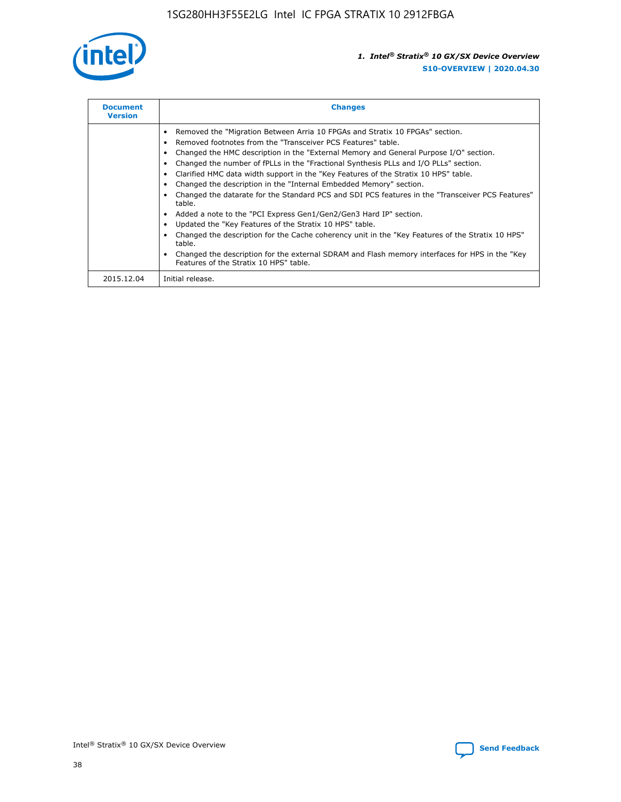

| <b>Document</b><br><b>Version</b> | <b>Changes</b>                                                                                                                                                                                                                                                                                                                                                                                                                                                                                                                                                                                                                                                                                                                                                                                                                                                                                                                                                                                     |  |
|-----------------------------------|----------------------------------------------------------------------------------------------------------------------------------------------------------------------------------------------------------------------------------------------------------------------------------------------------------------------------------------------------------------------------------------------------------------------------------------------------------------------------------------------------------------------------------------------------------------------------------------------------------------------------------------------------------------------------------------------------------------------------------------------------------------------------------------------------------------------------------------------------------------------------------------------------------------------------------------------------------------------------------------------------|--|
|                                   | Removed the "Migration Between Arria 10 FPGAs and Stratix 10 FPGAs" section.<br>Removed footnotes from the "Transceiver PCS Features" table.<br>Changed the HMC description in the "External Memory and General Purpose I/O" section.<br>Changed the number of fPLLs in the "Fractional Synthesis PLLs and I/O PLLs" section.<br>Clarified HMC data width support in the "Key Features of the Stratix 10 HPS" table.<br>Changed the description in the "Internal Embedded Memory" section.<br>Changed the datarate for the Standard PCS and SDI PCS features in the "Transceiver PCS Features"<br>table.<br>Added a note to the "PCI Express Gen1/Gen2/Gen3 Hard IP" section.<br>Updated the "Key Features of the Stratix 10 HPS" table.<br>Changed the description for the Cache coherency unit in the "Key Features of the Stratix 10 HPS"<br>table.<br>Changed the description for the external SDRAM and Flash memory interfaces for HPS in the "Key<br>Features of the Stratix 10 HPS" table. |  |
| 2015.12.04                        | Initial release.                                                                                                                                                                                                                                                                                                                                                                                                                                                                                                                                                                                                                                                                                                                                                                                                                                                                                                                                                                                   |  |